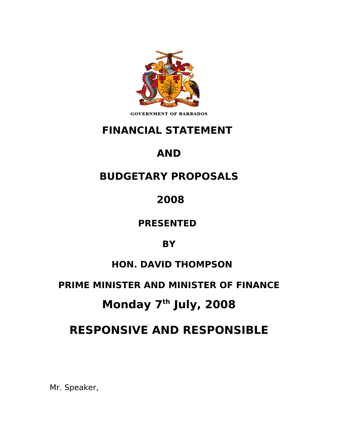

**GOVERNMENT OF BARBADOS** 

## **FINANCIAL STATEMENT**

# **AND**

# **BUDGETARY PROPOSALS**

 **2008**

**PRESENTED** 

**BY**

## **HON. DAVID THOMPSON**

## **PRIME MINISTER AND MINISTER OF FINANCE**

# **Monday 7th July, 2008**

# **RESPONSIVE AND RESPONSIBLE**

Mr. Speaker,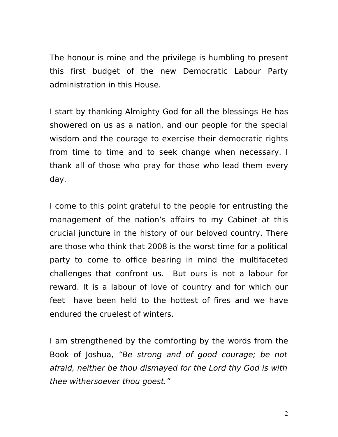The honour is mine and the privilege is humbling to present this first budget of the new Democratic Labour Party administration in this House.

I start by thanking Almighty God for all the blessings He has showered on us as a nation, and our people for the special wisdom and the courage to exercise their democratic rights from time to time and to seek change when necessary. I thank all of those who pray for those who lead them every day.

I come to this point grateful to the people for entrusting the management of the nation's affairs to my Cabinet at this crucial juncture in the history of our beloved country. There are those who think that 2008 is the worst time for a political party to come to office bearing in mind the multifaceted challenges that confront us. But ours is not a labour for reward. It is a labour of love of country and for which our feet have been held to the hottest of fires and we have endured the cruelest of winters.

I am strengthened by the comforting by the words from the Book of Joshua, "Be strong and of good courage; be not afraid, neither be thou dismayed for the Lord thy God is with thee withersoever thou goest."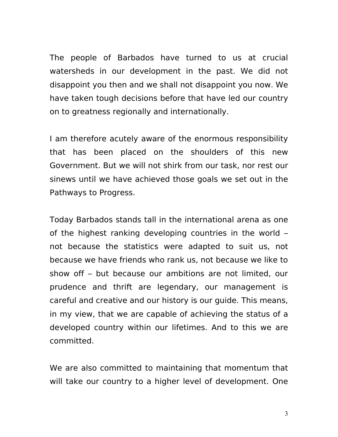The people of Barbados have turned to us at crucial watersheds in our development in the past. We did not disappoint you then and we shall not disappoint you now. We have taken tough decisions before that have led our country on to greatness regionally and internationally.

I am therefore acutely aware of the enormous responsibility that has been placed on the shoulders of this new Government. But we will not shirk from our task, nor rest our sinews until we have achieved those goals we set out in the Pathways to Progress.

Today Barbados stands tall in the international arena as one of the highest ranking developing countries in the world – not because the statistics were adapted to suit us, not because we have friends who rank us, not because we like to show off – but because our ambitions are not limited, our prudence and thrift are legendary, our management is careful and creative and our history is our guide. This means, in my view, that we are capable of achieving the status of a developed country within our lifetimes. And to this we are committed.

We are also committed to maintaining that momentum that will take our country to a higher level of development. One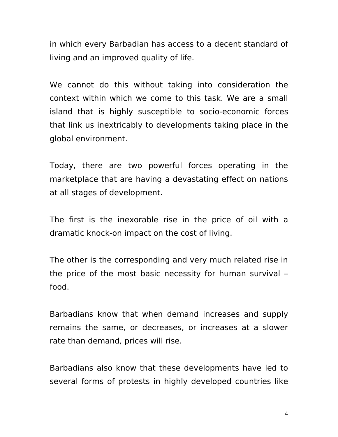in which every Barbadian has access to a decent standard of living and an improved quality of life.

We cannot do this without taking into consideration the context within which we come to this task. We are a small island that is highly susceptible to socio-economic forces that link us inextricably to developments taking place in the global environment.

Today, there are two powerful forces operating in the marketplace that are having a devastating effect on nations at all stages of development.

The first is the inexorable rise in the price of oil with a dramatic knock-on impact on the cost of living.

The other is the corresponding and very much related rise in the price of the most basic necessity for human survival – food.

Barbadians know that when demand increases and supply remains the same, or decreases, or increases at a slower rate than demand, prices will rise.

Barbadians also know that these developments have led to several forms of protests in highly developed countries like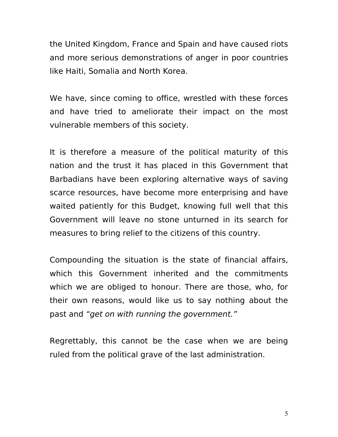the United Kingdom, France and Spain and have caused riots and more serious demonstrations of anger in poor countries like Haiti, Somalia and North Korea.

We have, since coming to office, wrestled with these forces and have tried to ameliorate their impact on the most vulnerable members of this society.

It is therefore a measure of the political maturity of this nation and the trust it has placed in this Government that Barbadians have been exploring alternative ways of saving scarce resources, have become more enterprising and have waited patiently for this Budget, knowing full well that this Government will leave no stone unturned in its search for measures to bring relief to the citizens of this country.

Compounding the situation is the state of financial affairs, which this Government inherited and the commitments which we are obliged to honour. There are those, who, for their own reasons, would like us to say nothing about the past and "get on with running the government."

Regrettably, this cannot be the case when we are being ruled from the political grave of the last administration.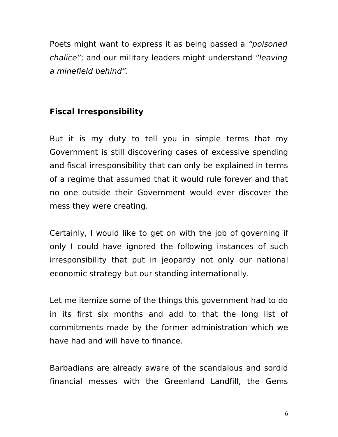Poets might want to express it as being passed a "poisoned chalice"; and our military leaders might understand "leaving a minefield behind".

### **Fiscal Irresponsibility**

But it is my duty to tell you in simple terms that my Government is still discovering cases of excessive spending and fiscal irresponsibility that can only be explained in terms of a regime that assumed that it would rule forever and that no one outside their Government would ever discover the mess they were creating.

Certainly, I would like to get on with the job of governing if only I could have ignored the following instances of such irresponsibility that put in jeopardy not only our national economic strategy but our standing internationally.

Let me itemize some of the things this government had to do in its first six months and add to that the long list of commitments made by the former administration which we have had and will have to finance.

Barbadians are already aware of the scandalous and sordid financial messes with the Greenland Landfill, the Gems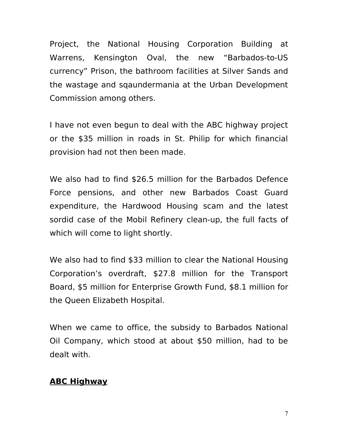Project, the National Housing Corporation Building at Warrens, Kensington Oval, the new "Barbados-to-US currency" Prison, the bathroom facilities at Silver Sands and the wastage and sqaundermania at the Urban Development Commission among others.

I have not even begun to deal with the ABC highway project or the \$35 million in roads in St. Philip for which financial provision had not then been made.

We also had to find \$26.5 million for the Barbados Defence Force pensions, and other new Barbados Coast Guard expenditure, the Hardwood Housing scam and the latest sordid case of the Mobil Refinery clean-up, the full facts of which will come to light shortly.

We also had to find \$33 million to clear the National Housing Corporation's overdraft, \$27.8 million for the Transport Board, \$5 million for Enterprise Growth Fund, \$8.1 million for the Queen Elizabeth Hospital.

When we came to office, the subsidy to Barbados National Oil Company, which stood at about \$50 million, had to be dealt with.

### **ABC Highway**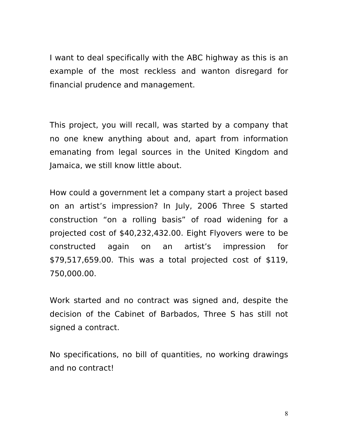I want to deal specifically with the ABC highway as this is an example of the most reckless and wanton disregard for financial prudence and management.

This project, you will recall, was started by a company that no one knew anything about and, apart from information emanating from legal sources in the United Kingdom and Jamaica, we still know little about.

How could a government let a company start a project based on an artist's impression? In July, 2006 Three S started construction "on a rolling basis" of road widening for a projected cost of \$40,232,432.00. Eight Flyovers were to be constructed again on an artist's impression for \$79,517,659.00. This was a total projected cost of \$119, 750,000.00.

Work started and no contract was signed and, despite the decision of the Cabinet of Barbados, Three S has still not signed a contract.

No specifications, no bill of quantities, no working drawings and no contract!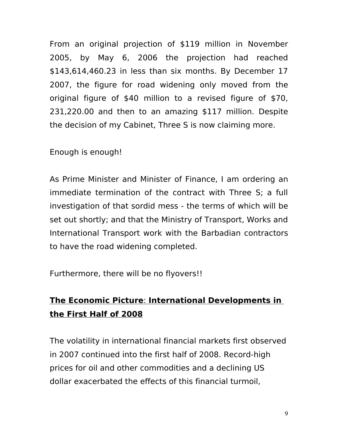From an original projection of \$119 million in November 2005, by May 6, 2006 the projection had reached \$143,614,460.23 in less than six months. By December 17 2007, the figure for road widening only moved from the original figure of \$40 million to a revised figure of \$70, 231,220.00 and then to an amazing \$117 million. Despite the decision of my Cabinet, Three S is now claiming more.

#### Enough is enough!

As Prime Minister and Minister of Finance, I am ordering an immediate termination of the contract with Three S; a full investigation of that sordid mess - the terms of which will be set out shortly; and that the Ministry of Transport, Works and International Transport work with the Barbadian contractors to have the road widening completed.

Furthermore, there will be no flyovers!!

## **The Economic Picture: International Developments in the First Half of 2008**

The volatility in international financial markets first observed in 2007 continued into the first half of 2008. Record-high prices for oil and other commodities and a declining US dollar exacerbated the effects of this financial turmoil,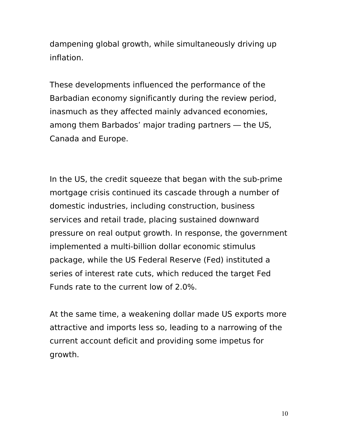dampening global growth, while simultaneously driving up inflation.

These developments influenced the performance of the Barbadian economy significantly during the review period, inasmuch as they affected mainly advanced economies, among them Barbados' major trading partners — the US, Canada and Europe.

In the US, the credit squeeze that began with the sub-prime mortgage crisis continued its cascade through a number of domestic industries, including construction, business services and retail trade, placing sustained downward pressure on real output growth. In response, the government implemented a multi-billion dollar economic stimulus package, while the US Federal Reserve (Fed) instituted a series of interest rate cuts, which reduced the target Fed Funds rate to the current low of 2.0%.

At the same time, a weakening dollar made US exports more attractive and imports less so, leading to a narrowing of the current account deficit and providing some impetus for growth.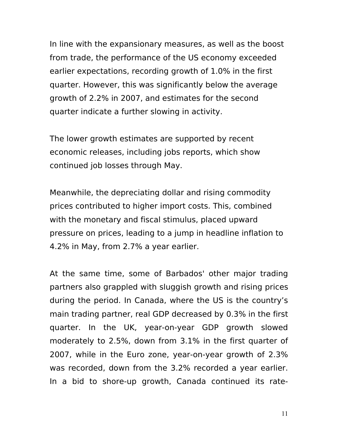In line with the expansionary measures, as well as the boost from trade, the performance of the US economy exceeded earlier expectations, recording growth of 1.0% in the first quarter. However, this was significantly below the average growth of 2.2% in 2007, and estimates for the second quarter indicate a further slowing in activity.

The lower growth estimates are supported by recent economic releases, including jobs reports, which show continued job losses through May.

Meanwhile, the depreciating dollar and rising commodity prices contributed to higher import costs. This, combined with the monetary and fiscal stimulus, placed upward pressure on prices, leading to a jump in headline inflation to 4.2% in May, from 2.7% a year earlier.

At the same time, some of Barbados' other major trading partners also grappled with sluggish growth and rising prices during the period. In Canada, where the US is the country's main trading partner, real GDP decreased by 0.3% in the first quarter. In the UK, year-on-year GDP growth slowed moderately to 2.5%, down from 3.1% in the first quarter of 2007, while in the Euro zone, year-on-year growth of 2.3% was recorded, down from the 3.2% recorded a year earlier. In a bid to shore-up growth, Canada continued its rate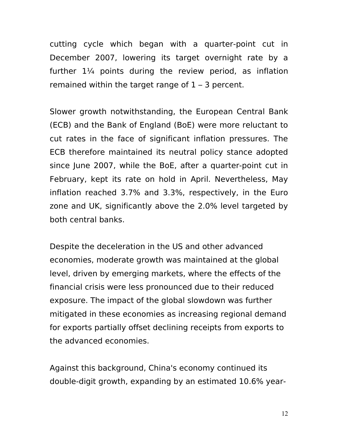cutting cycle which began with a quarter-point cut in December 2007, lowering its target overnight rate by a further  $1\frac{1}{4}$  points during the review period, as inflation remained within the target range of  $1 - 3$  percent.

Slower growth notwithstanding, the European Central Bank (ECB) and the Bank of England (BoE) were more reluctant to cut rates in the face of significant inflation pressures. The ECB therefore maintained its neutral policy stance adopted since June 2007, while the BoE, after a quarter-point cut in February, kept its rate on hold in April. Nevertheless, May inflation reached 3.7% and 3.3%, respectively, in the Euro zone and UK, significantly above the 2.0% level targeted by both central banks.

Despite the deceleration in the US and other advanced economies, moderate growth was maintained at the global level, driven by emerging markets, where the effects of the financial crisis were less pronounced due to their reduced exposure. The impact of the global slowdown was further mitigated in these economies as increasing regional demand for exports partially offset declining receipts from exports to the advanced economies.

Against this background, China's economy continued its double-digit growth, expanding by an estimated 10.6% year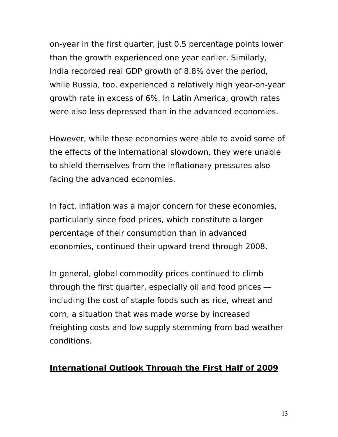on-year in the first quarter, just 0.5 percentage points lower than the growth experienced one year earlier. Similarly, India recorded real GDP growth of 8.8% over the period, while Russia, too, experienced a relatively high year-on-year growth rate in excess of 6%. In Latin America, growth rates were also less depressed than in the advanced economies.

However, while these economies were able to avoid some of the effects of the international slowdown, they were unable to shield themselves from the inflationary pressures also facing the advanced economies.

In fact, inflation was a major concern for these economies, particularly since food prices, which constitute a larger percentage of their consumption than in advanced economies, continued their upward trend through 2008.

In general, global commodity prices continued to climb through the first quarter, especially oil and food prices including the cost of staple foods such as rice, wheat and corn, a situation that was made worse by increased freighting costs and low supply stemming from bad weather conditions.

#### **International Outlook Through the First Half of 2009**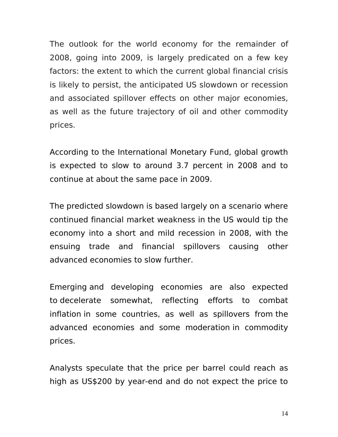The outlook for the world economy for the remainder of 2008, going into 2009, is largely predicated on a few key factors: the extent to which the current global financial crisis is likely to persist, the anticipated US slowdown or recession and associated spillover effects on other major economies, as well as the future trajectory of oil and other commodity prices.

According to the International Monetary Fund, global growth is expected to slow to around 3.7 percent in 2008 and to continue at about the same pace in 2009.

The predicted slowdown is based largely on a scenario where continued financial market weakness in the US would tip the economy into a short and mild recession in 2008, with the ensuing trade and financial spillovers causing other advanced economies to slow further.

Emerging and developing economies are also expected to decelerate somewhat, reflecting efforts to combat inflation in some countries, as well as spillovers from the advanced economies and some moderation in commodity prices.

Analysts speculate that the price per barrel could reach as high as US\$200 by year-end and do not expect the price to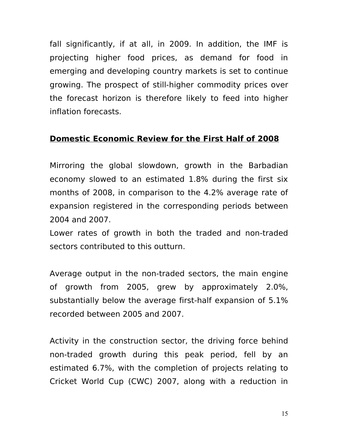fall significantly, if at all, in 2009. In addition, the IMF is projecting higher food prices, as demand for food in emerging and developing country markets is set to continue growing. The prospect of still-higher commodity prices over the forecast horizon is therefore likely to feed into higher inflation forecasts.

#### **Domestic Economic Review for the First Half of 2008**

Mirroring the global slowdown, growth in the Barbadian economy slowed to an estimated 1.8% during the first six months of 2008, in comparison to the 4.2% average rate of expansion registered in the corresponding periods between 2004 and 2007.

Lower rates of growth in both the traded and non-traded sectors contributed to this outturn.

Average output in the non-traded sectors, the main engine of growth from 2005, grew by approximately 2.0%, substantially below the average first-half expansion of 5.1% recorded between 2005 and 2007.

Activity in the construction sector, the driving force behind non-traded growth during this peak period, fell by an estimated 6.7%, with the completion of projects relating to Cricket World Cup (CWC) 2007, along with a reduction in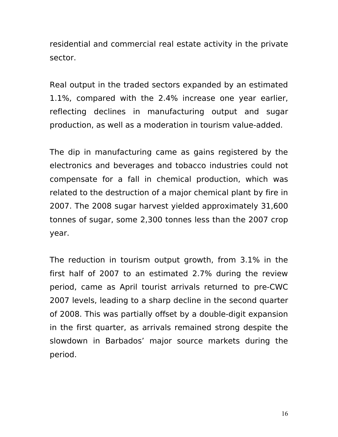residential and commercial real estate activity in the private sector.

Real output in the traded sectors expanded by an estimated 1.1%, compared with the 2.4% increase one year earlier, reflecting declines in manufacturing output and sugar production, as well as a moderation in tourism value-added.

The dip in manufacturing came as gains registered by the electronics and beverages and tobacco industries could not compensate for a fall in chemical production, which was related to the destruction of a major chemical plant by fire in 2007. The 2008 sugar harvest yielded approximately 31,600 tonnes of sugar, some 2,300 tonnes less than the 2007 crop year.

The reduction in tourism output growth, from 3.1% in the first half of 2007 to an estimated 2.7% during the review period, came as April tourist arrivals returned to pre-CWC 2007 levels, leading to a sharp decline in the second quarter of 2008. This was partially offset by a double-digit expansion in the first quarter, as arrivals remained strong despite the slowdown in Barbados' major source markets during the period.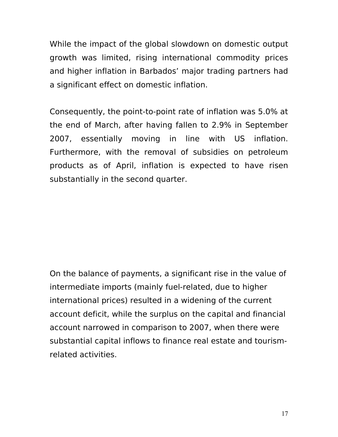While the impact of the global slowdown on domestic output growth was limited, rising international commodity prices and higher inflation in Barbados' major trading partners had a significant effect on domestic inflation.

Consequently, the point-to-point rate of inflation was 5.0% at the end of March, after having fallen to 2.9% in September 2007, essentially moving in line with US inflation. Furthermore, with the removal of subsidies on petroleum products as of April, inflation is expected to have risen substantially in the second quarter.

On the balance of payments, a significant rise in the value of intermediate imports (mainly fuel-related, due to higher international prices) resulted in a widening of the current account deficit, while the surplus on the capital and financial account narrowed in comparison to 2007, when there were substantial capital inflows to finance real estate and tourismrelated activities.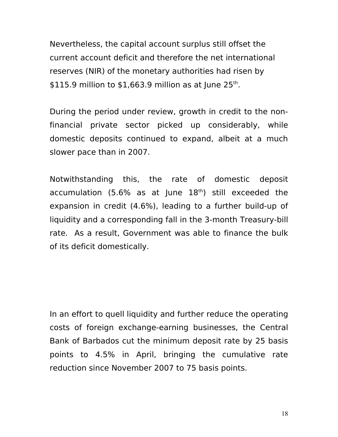Nevertheless, the capital account surplus still offset the current account deficit and therefore the net international reserves (NIR) of the monetary authorities had risen by  $$115.9$  million to  $$1,663.9$  million as at June 25<sup>th</sup>.

During the period under review, growth in credit to the nonfinancial private sector picked up considerably, while domestic deposits continued to expand, albeit at a much slower pace than in 2007.

Notwithstanding this, the rate of domestic deposit accumulation (5.6% as at June  $18<sup>th</sup>$ ) still exceeded the expansion in credit (4.6%), leading to a further build-up of liquidity and a corresponding fall in the 3-month Treasury-bill rate. As a result, Government was able to finance the bulk of its deficit domestically.

In an effort to quell liquidity and further reduce the operating costs of foreign exchange-earning businesses, the Central Bank of Barbados cut the minimum deposit rate by 25 basis points to 4.5% in April, bringing the cumulative rate reduction since November 2007 to 75 basis points.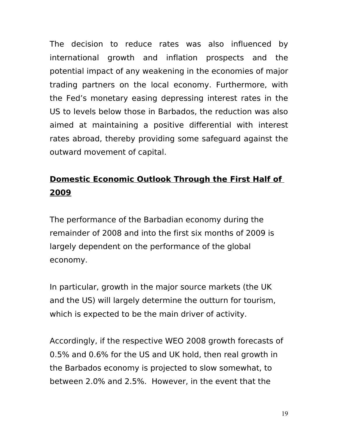The decision to reduce rates was also influenced by international growth and inflation prospects and the potential impact of any weakening in the economies of major trading partners on the local economy. Furthermore, with the Fed's monetary easing depressing interest rates in the US to levels below those in Barbados, the reduction was also aimed at maintaining a positive differential with interest rates abroad, thereby providing some safeguard against the outward movement of capital.

## **Domestic Economic Outlook Through the First Half of 2009**

The performance of the Barbadian economy during the remainder of 2008 and into the first six months of 2009 is largely dependent on the performance of the global economy.

In particular, growth in the major source markets (the UK and the US) will largely determine the outturn for tourism, which is expected to be the main driver of activity.

Accordingly, if the respective WEO 2008 growth forecasts of 0.5% and 0.6% for the US and UK hold, then real growth in the Barbados economy is projected to slow somewhat, to between 2.0% and 2.5%. However, in the event that the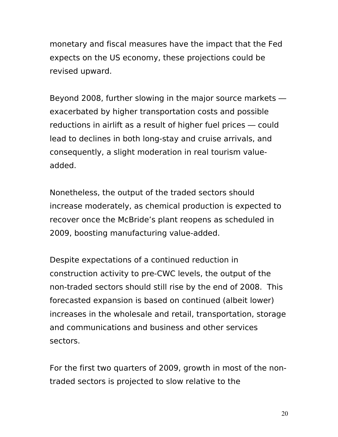monetary and fiscal measures have the impact that the Fed expects on the US economy, these projections could be revised upward.

Beyond 2008, further slowing in the major source markets exacerbated by higher transportation costs and possible reductions in airlift as a result of higher fuel prices — could lead to declines in both long-stay and cruise arrivals, and consequently, a slight moderation in real tourism valueadded.

Nonetheless, the output of the traded sectors should increase moderately, as chemical production is expected to recover once the McBride's plant reopens as scheduled in 2009, boosting manufacturing value-added.

Despite expectations of a continued reduction in construction activity to pre-CWC levels, the output of the non-traded sectors should still rise by the end of 2008. This forecasted expansion is based on continued (albeit lower) increases in the wholesale and retail, transportation, storage and communications and business and other services sectors.

For the first two quarters of 2009, growth in most of the nontraded sectors is projected to slow relative to the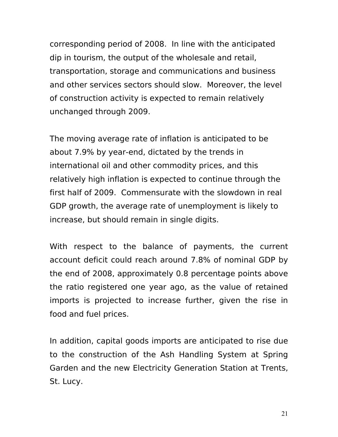corresponding period of 2008. In line with the anticipated dip in tourism, the output of the wholesale and retail, transportation, storage and communications and business and other services sectors should slow. Moreover, the level of construction activity is expected to remain relatively unchanged through 2009.

The moving average rate of inflation is anticipated to be about 7.9% by year-end, dictated by the trends in international oil and other commodity prices, and this relatively high inflation is expected to continue through the first half of 2009. Commensurate with the slowdown in real GDP growth, the average rate of unemployment is likely to increase, but should remain in single digits.

With respect to the balance of payments, the current account deficit could reach around 7.8% of nominal GDP by the end of 2008, approximately 0.8 percentage points above the ratio registered one year ago, as the value of retained imports is projected to increase further, given the rise in food and fuel prices.

In addition, capital goods imports are anticipated to rise due to the construction of the Ash Handling System at Spring Garden and the new Electricity Generation Station at Trents, St. Lucy.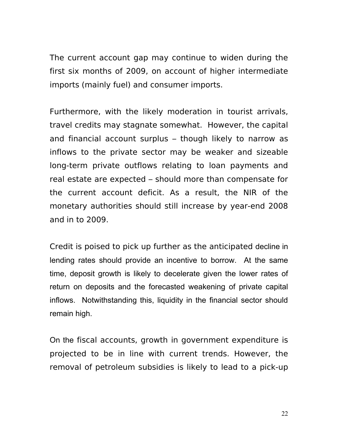The current account gap may continue to widen during the first six months of 2009, on account of higher intermediate imports (mainly fuel) and consumer imports.

Furthermore, with the likely moderation in tourist arrivals, travel credits may stagnate somewhat. However, the capital and financial account surplus – though likely to narrow as inflows to the private sector may be weaker and sizeable long-term private outflows relating to loan payments and real estate are expected – should more than compensate for the current account deficit. As a result, the NIR of the monetary authorities should still increase by year-end 2008 and in to 2009.

Credit is poised to pick up further as the anticipated decline in lending rates should provide an incentive to borrow. At the same time, deposit growth is likely to decelerate given the lower rates of return on deposits and the forecasted weakening of private capital inflows. Notwithstanding this, liquidity in the financial sector should remain high.

On the fiscal accounts, growth in government expenditure is projected to be in line with current trends. However, the removal of petroleum subsidies is likely to lead to a pick-up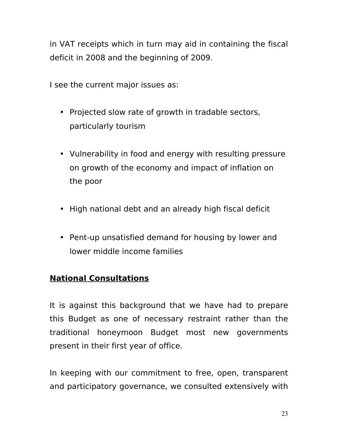in VAT receipts which in turn may aid in containing the fiscal deficit in 2008 and the beginning of 2009.

I see the current major issues as:

- Projected slow rate of growth in tradable sectors, particularly tourism
- Vulnerability in food and energy with resulting pressure on growth of the economy and impact of inflation on the poor
- High national debt and an already high fiscal deficit
- Pent-up unsatisfied demand for housing by lower and lower middle income families

### **National Consultations**

It is against this background that we have had to prepare this Budget as one of necessary restraint rather than the traditional honeymoon Budget most new governments present in their first year of office.

In keeping with our commitment to free, open, transparent and participatory governance, we consulted extensively with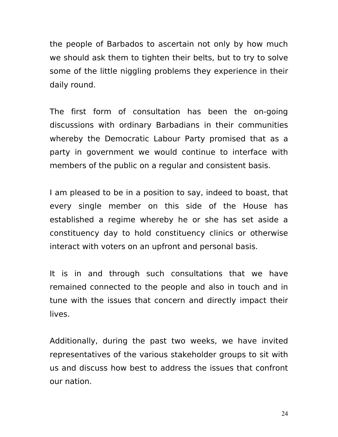the people of Barbados to ascertain not only by how much we should ask them to tighten their belts, but to try to solve some of the little niggling problems they experience in their daily round.

The first form of consultation has been the on-going discussions with ordinary Barbadians in their communities whereby the Democratic Labour Party promised that as a party in government we would continue to interface with members of the public on a regular and consistent basis.

I am pleased to be in a position to say, indeed to boast, that every single member on this side of the House has established a regime whereby he or she has set aside a constituency day to hold constituency clinics or otherwise interact with voters on an upfront and personal basis.

It is in and through such consultations that we have remained connected to the people and also in touch and in tune with the issues that concern and directly impact their lives.

Additionally, during the past two weeks, we have invited representatives of the various stakeholder groups to sit with us and discuss how best to address the issues that confront our nation.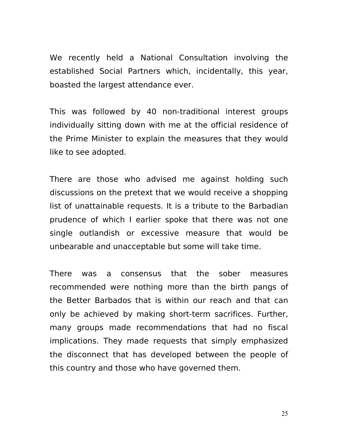We recently held a National Consultation involving the established Social Partners which, incidentally, this year, boasted the largest attendance ever.

This was followed by 40 non-traditional interest groups individually sitting down with me at the official residence of the Prime Minister to explain the measures that they would like to see adopted.

There are those who advised me against holding such discussions on the pretext that we would receive a shopping list of unattainable requests. It is a tribute to the Barbadian prudence of which I earlier spoke that there was not one single outlandish or excessive measure that would be unbearable and unacceptable but some will take time.

There was a consensus that the sober measures recommended were nothing more than the birth pangs of the Better Barbados that is within our reach and that can only be achieved by making short-term sacrifices. Further, many groups made recommendations that had no fiscal implications. They made requests that simply emphasized the disconnect that has developed between the people of this country and those who have governed them.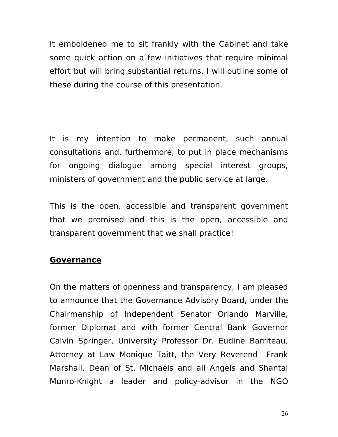It emboldened me to sit frankly with the Cabinet and take some quick action on a few initiatives that require minimal effort but will bring substantial returns. I will outline some of these during the course of this presentation.

It is my intention to make permanent, such annual consultations and, furthermore, to put in place mechanisms for ongoing dialogue among special interest groups, ministers of government and the public service at large.

This is the open, accessible and transparent government that we promised and this is the open, accessible and transparent government that we shall practice!

#### **Governance**

On the matters of openness and transparency, I am pleased to announce that the Governance Advisory Board, under the Chairmanship of Independent Senator Orlando Marville, former Diplomat and with former Central Bank Governor Calvin Springer, University Professor Dr. Eudine Barriteau, Attorney at Law Monique Taitt, the Very Reverend Frank Marshall, Dean of St. Michaels and all Angels and Shantal Munro-Knight a leader and policy-advisor in the NGO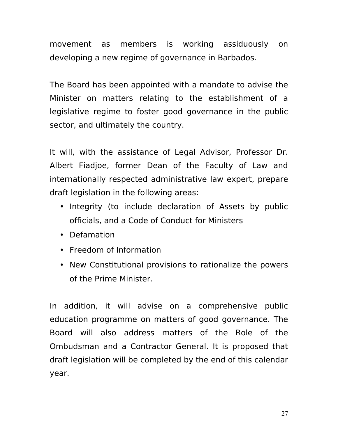movement as members is working assiduously on developing a new regime of governance in Barbados.

The Board has been appointed with a mandate to advise the Minister on matters relating to the establishment of a legislative regime to foster good governance in the public sector, and ultimately the country.

It will, with the assistance of Legal Advisor, Professor Dr. Albert Fiadjoe, former Dean of the Faculty of Law and internationally respected administrative law expert, prepare draft legislation in the following areas:

- Integrity (to include declaration of Assets by public officials, and a Code of Conduct for Ministers
- Defamation
- Freedom of Information
- New Constitutional provisions to rationalize the powers of the Prime Minister.

In addition, it will advise on a comprehensive public education programme on matters of good governance. The Board will also address matters of the Role of the Ombudsman and a Contractor General. It is proposed that draft legislation will be completed by the end of this calendar year.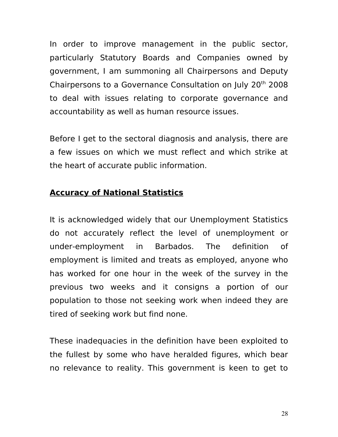In order to improve management in the public sector, particularly Statutory Boards and Companies owned by government, I am summoning all Chairpersons and Deputy Chairpersons to a Governance Consultation on July 20th 2008 to deal with issues relating to corporate governance and accountability as well as human resource issues.

Before I get to the sectoral diagnosis and analysis, there are a few issues on which we must reflect and which strike at the heart of accurate public information.

#### **Accuracy of National Statistics**

It is acknowledged widely that our Unemployment Statistics do not accurately reflect the level of unemployment or under-employment in Barbados. The definition of employment is limited and treats as employed, anyone who has worked for one hour in the week of the survey in the previous two weeks and it consigns a portion of our population to those not seeking work when indeed they are tired of seeking work but find none.

These inadequacies in the definition have been exploited to the fullest by some who have heralded figures, which bear no relevance to reality. This government is keen to get to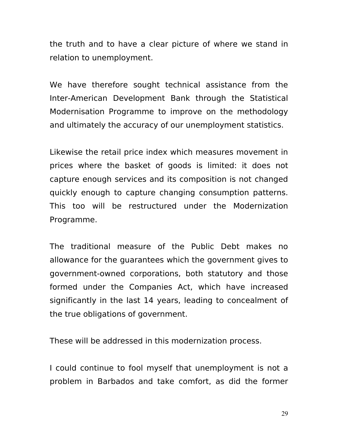the truth and to have a clear picture of where we stand in relation to unemployment.

We have therefore sought technical assistance from the Inter-American Development Bank through the Statistical Modernisation Programme to improve on the methodology and ultimately the accuracy of our unemployment statistics.

Likewise the retail price index which measures movement in prices where the basket of goods is limited: it does not capture enough services and its composition is not changed quickly enough to capture changing consumption patterns. This too will be restructured under the Modernization Programme.

The traditional measure of the Public Debt makes no allowance for the guarantees which the government gives to government-owned corporations, both statutory and those formed under the Companies Act, which have increased significantly in the last 14 years, leading to concealment of the true obligations of government.

These will be addressed in this modernization process.

I could continue to fool myself that unemployment is not a problem in Barbados and take comfort, as did the former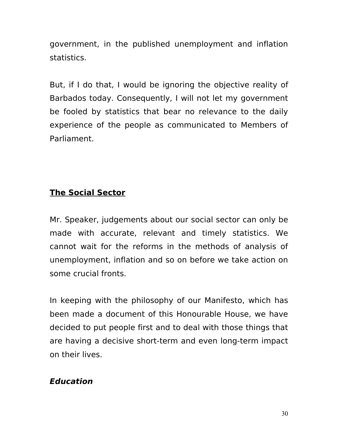government, in the published unemployment and inflation statistics.

But, if I do that, I would be ignoring the objective reality of Barbados today. Consequently, I will not let my government be fooled by statistics that bear no relevance to the daily experience of the people as communicated to Members of Parliament.

### **The Social Sector**

Mr. Speaker, judgements about our social sector can only be made with accurate, relevant and timely statistics. We cannot wait for the reforms in the methods of analysis of unemployment, inflation and so on before we take action on some crucial fronts.

In keeping with the philosophy of our Manifesto, which has been made a document of this Honourable House, we have decided to put people first and to deal with those things that are having a decisive short-term and even long-term impact on their lives.

### **Education**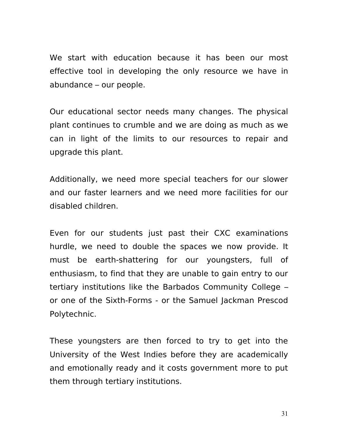We start with education because it has been our most effective tool in developing the only resource we have in abundance – our people.

Our educational sector needs many changes. The physical plant continues to crumble and we are doing as much as we can in light of the limits to our resources to repair and upgrade this plant.

Additionally, we need more special teachers for our slower and our faster learners and we need more facilities for our disabled children.

Even for our students just past their CXC examinations hurdle, we need to double the spaces we now provide. It must be earth-shattering for our youngsters, full of enthusiasm, to find that they are unable to gain entry to our tertiary institutions like the Barbados Community College – or one of the Sixth-Forms - or the Samuel Jackman Prescod Polytechnic.

These youngsters are then forced to try to get into the University of the West Indies before they are academically and emotionally ready and it costs government more to put them through tertiary institutions.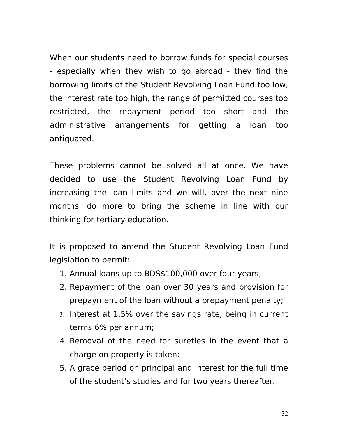When our students need to borrow funds for special courses - especially when they wish to go abroad - they find the borrowing limits of the Student Revolving Loan Fund too low, the interest rate too high, the range of permitted courses too restricted, the repayment period too short and the administrative arrangements for getting a loan too antiquated.

These problems cannot be solved all at once. We have decided to use the Student Revolving Loan Fund by increasing the loan limits and we will, over the next nine months, do more to bring the scheme in line with our thinking for tertiary education.

It is proposed to amend the Student Revolving Loan Fund legislation to permit:

- 1. Annual loans up to BDS\$100,000 over four years;
- 2. Repayment of the loan over 30 years and provision for prepayment of the loan without a prepayment penalty;
- 3. Interest at 1.5% over the savings rate, being in current terms 6% per annum;
- 4. Removal of the need for sureties in the event that a charge on property is taken;
- 5. A grace period on principal and interest for the full time of the student's studies and for two years thereafter.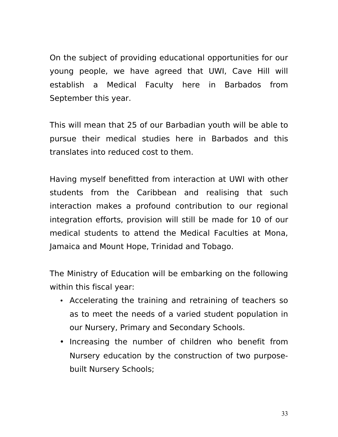On the subject of providing educational opportunities for our young people, we have agreed that UWI, Cave Hill will establish a Medical Faculty here in Barbados from September this year.

This will mean that 25 of our Barbadian youth will be able to pursue their medical studies here in Barbados and this translates into reduced cost to them.

Having myself benefitted from interaction at UWI with other students from the Caribbean and realising that such interaction makes a profound contribution to our regional integration efforts, provision will still be made for 10 of our medical students to attend the Medical Faculties at Mona, Jamaica and Mount Hope, Trinidad and Tobago.

The Ministry of Education will be embarking on the following within this fiscal year:

- Accelerating the training and retraining of teachers so as to meet the needs of a varied student population in our Nursery, Primary and Secondary Schools.
- Increasing the number of children who benefit from Nursery education by the construction of two purposebuilt Nursery Schools;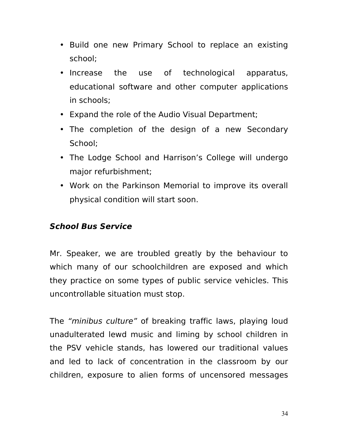- Build one new Primary School to replace an existing school;
- Increase the use of technological apparatus, educational software and other computer applications in schools;
- Expand the role of the Audio Visual Department;
- The completion of the design of a new Secondary School;
- The Lodge School and Harrison's College will undergo major refurbishment;
- Work on the Parkinson Memorial to improve its overall physical condition will start soon.

### **School Bus Service**

Mr. Speaker, we are troubled greatly by the behaviour to which many of our schoolchildren are exposed and which they practice on some types of public service vehicles. This uncontrollable situation must stop.

The "minibus culture" of breaking traffic laws, playing loud unadulterated lewd music and liming by school children in the PSV vehicle stands, has lowered our traditional values and led to lack of concentration in the classroom by our children, exposure to alien forms of uncensored messages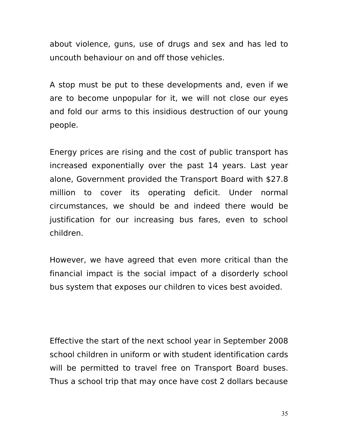about violence, guns, use of drugs and sex and has led to uncouth behaviour on and off those vehicles.

A stop must be put to these developments and, even if we are to become unpopular for it, we will not close our eyes and fold our arms to this insidious destruction of our young people.

Energy prices are rising and the cost of public transport has increased exponentially over the past 14 years. Last year alone, Government provided the Transport Board with \$27.8 million to cover its operating deficit. Under normal circumstances, we should be and indeed there would be justification for our increasing bus fares, even to school children.

However, we have agreed that even more critical than the financial impact is the social impact of a disorderly school bus system that exposes our children to vices best avoided.

Effective the start of the next school year in September 2008 school children in uniform or with student identification cards will be permitted to travel free on Transport Board buses. Thus a school trip that may once have cost 2 dollars because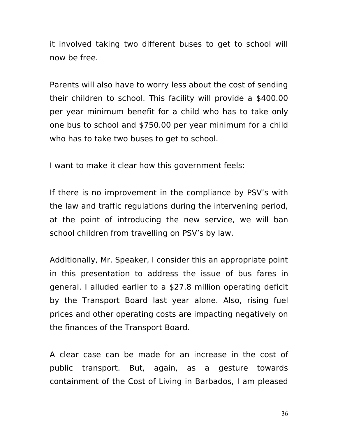it involved taking two different buses to get to school will now be free.

Parents will also have to worry less about the cost of sending their children to school. This facility will provide a \$400.00 per year minimum benefit for a child who has to take only one bus to school and \$750.00 per year minimum for a child who has to take two buses to get to school.

I want to make it clear how this government feels:

If there is no improvement in the compliance by PSV's with the law and traffic regulations during the intervening period, at the point of introducing the new service, we will ban school children from travelling on PSV's by law.

Additionally, Mr. Speaker, I consider this an appropriate point in this presentation to address the issue of bus fares in general. I alluded earlier to a \$27.8 million operating deficit by the Transport Board last year alone. Also, rising fuel prices and other operating costs are impacting negatively on the finances of the Transport Board.

A clear case can be made for an increase in the cost of public transport. But, again, as a gesture towards containment of the Cost of Living in Barbados, I am pleased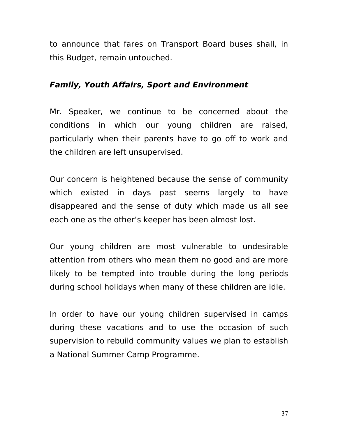to announce that fares on Transport Board buses shall, in this Budget, remain untouched.

### **Family, Youth Affairs, Sport and Environment**

Mr. Speaker, we continue to be concerned about the conditions in which our young children are raised, particularly when their parents have to go off to work and the children are left unsupervised.

Our concern is heightened because the sense of community which existed in days past seems largely to have disappeared and the sense of duty which made us all see each one as the other's keeper has been almost lost.

Our young children are most vulnerable to undesirable attention from others who mean them no good and are more likely to be tempted into trouble during the long periods during school holidays when many of these children are idle.

In order to have our young children supervised in camps during these vacations and to use the occasion of such supervision to rebuild community values we plan to establish a National Summer Camp Programme.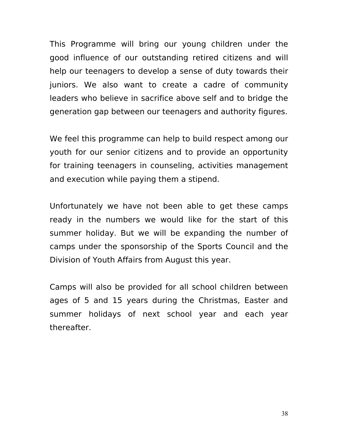This Programme will bring our young children under the good influence of our outstanding retired citizens and will help our teenagers to develop a sense of duty towards their juniors. We also want to create a cadre of community leaders who believe in sacrifice above self and to bridge the generation gap between our teenagers and authority figures.

We feel this programme can help to build respect among our youth for our senior citizens and to provide an opportunity for training teenagers in counseling, activities management and execution while paying them a stipend.

Unfortunately we have not been able to get these camps ready in the numbers we would like for the start of this summer holiday. But we will be expanding the number of camps under the sponsorship of the Sports Council and the Division of Youth Affairs from August this year.

Camps will also be provided for all school children between ages of 5 and 15 years during the Christmas, Easter and summer holidays of next school year and each year thereafter.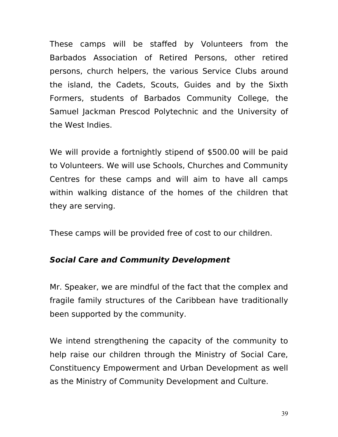These camps will be staffed by Volunteers from the Barbados Association of Retired Persons, other retired persons, church helpers, the various Service Clubs around the island, the Cadets, Scouts, Guides and by the Sixth Formers, students of Barbados Community College, the Samuel Jackman Prescod Polytechnic and the University of the West Indies.

We will provide a fortnightly stipend of \$500.00 will be paid to Volunteers. We will use Schools, Churches and Community Centres for these camps and will aim to have all camps within walking distance of the homes of the children that they are serving.

These camps will be provided free of cost to our children.

# **Social Care and Community Development**

Mr. Speaker, we are mindful of the fact that the complex and fragile family structures of the Caribbean have traditionally been supported by the community.

We intend strengthening the capacity of the community to help raise our children through the Ministry of Social Care, Constituency Empowerment and Urban Development as well as the Ministry of Community Development and Culture.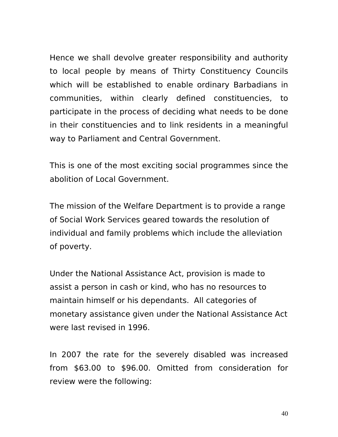Hence we shall devolve greater responsibility and authority to local people by means of Thirty Constituency Councils which will be established to enable ordinary Barbadians in communities, within clearly defined constituencies, to participate in the process of deciding what needs to be done in their constituencies and to link residents in a meaningful way to Parliament and Central Government.

This is one of the most exciting social programmes since the abolition of Local Government.

The mission of the Welfare Department is to provide a range of Social Work Services geared towards the resolution of individual and family problems which include the alleviation of poverty.

Under the National Assistance Act, provision is made to assist a person in cash or kind, who has no resources to maintain himself or his dependants. All categories of monetary assistance given under the National Assistance Act were last revised in 1996.

In 2007 the rate for the severely disabled was increased from \$63.00 to \$96.00. Omitted from consideration for review were the following: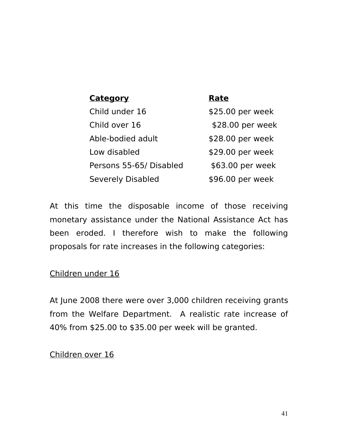| <b>Category</b>          | Rate             |
|--------------------------|------------------|
| Child under 16           | \$25.00 per week |
| Child over 16            | \$28.00 per week |
| Able-bodied adult        | \$28.00 per week |
| Low disabled             | \$29.00 per week |
| Persons 55-65/ Disabled  | \$63.00 per week |
| <b>Severely Disabled</b> | \$96.00 per week |
|                          |                  |

At this time the disposable income of those receiving monetary assistance under the National Assistance Act has been eroded. I therefore wish to make the following proposals for rate increases in the following categories:

Children under 16

At June 2008 there were over 3,000 children receiving grants from the Welfare Department. A realistic rate increase of 40% from \$25.00 to \$35.00 per week will be granted.

#### Children over 16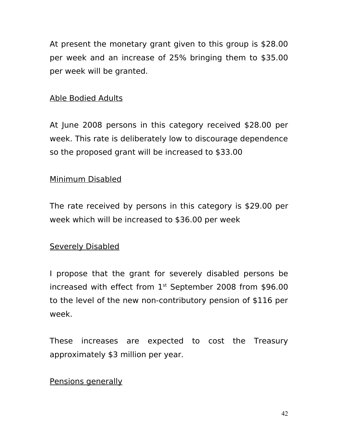At present the monetary grant given to this group is \$28.00 per week and an increase of 25% bringing them to \$35.00 per week will be granted.

### Able Bodied Adults

At June 2008 persons in this category received \$28.00 per week. This rate is deliberately low to discourage dependence so the proposed grant will be increased to \$33.00

#### Minimum Disabled

The rate received by persons in this category is \$29.00 per week which will be increased to \$36.00 per week

### Severely Disabled

I propose that the grant for severely disabled persons be increased with effect from  $1<sup>st</sup>$  September 2008 from \$96.00 to the level of the new non-contributory pension of \$116 per week.

These increases are expected to cost the Treasury approximately \$3 million per year.

#### Pensions generally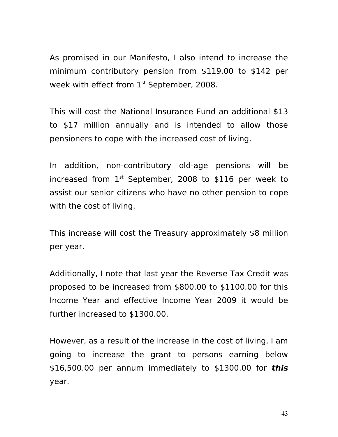As promised in our Manifesto, I also intend to increase the minimum contributory pension from \$119.00 to \$142 per week with effect from  $1<sup>st</sup>$  September, 2008.

This will cost the National Insurance Fund an additional \$13 to \$17 million annually and is intended to allow those pensioners to cope with the increased cost of living.

In addition, non-contributory old-age pensions will be increased from  $1<sup>st</sup>$  September, 2008 to \$116 per week to assist our senior citizens who have no other pension to cope with the cost of living.

This increase will cost the Treasury approximately \$8 million per year.

Additionally, I note that last year the Reverse Tax Credit was proposed to be increased from \$800.00 to \$1100.00 for this Income Year and effective Income Year 2009 it would be further increased to \$1300.00.

However, as a result of the increase in the cost of living, I am going to increase the grant to persons earning below \$16,500.00 per annum immediately to \$1300.00 for **this** year.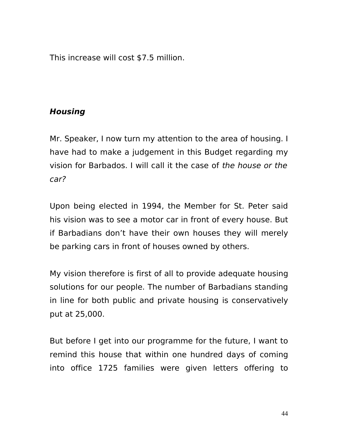This increase will cost \$7.5 million.

# **Housing**

Mr. Speaker, I now turn my attention to the area of housing. I have had to make a judgement in this Budget regarding my vision for Barbados. I will call it the case of the house or the car?

Upon being elected in 1994, the Member for St. Peter said his vision was to see a motor car in front of every house. But if Barbadians don't have their own houses they will merely be parking cars in front of houses owned by others.

My vision therefore is first of all to provide adequate housing solutions for our people. The number of Barbadians standing in line for both public and private housing is conservatively put at 25,000.

But before I get into our programme for the future, I want to remind this house that within one hundred days of coming into office 1725 families were given letters offering to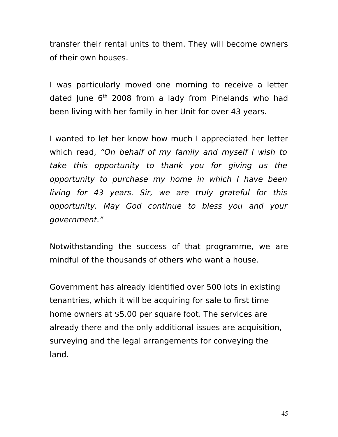transfer their rental units to them. They will become owners of their own houses.

I was particularly moved one morning to receive a letter dated June  $6<sup>th</sup>$  2008 from a lady from Pinelands who had been living with her family in her Unit for over 43 years.

I wanted to let her know how much I appreciated her letter which read, "On behalf of my family and myself I wish to take this opportunity to thank you for giving us the opportunity to purchase my home in which I have been living for 43 years. Sir, we are truly grateful for this opportunity. May God continue to bless you and your government."

Notwithstanding the success of that programme, we are mindful of the thousands of others who want a house.

Government has already identified over 500 lots in existing tenantries, which it will be acquiring for sale to first time home owners at \$5.00 per square foot. The services are already there and the only additional issues are acquisition, surveying and the legal arrangements for conveying the land.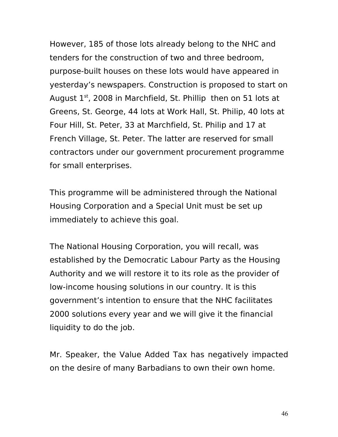However, 185 of those lots already belong to the NHC and tenders for the construction of two and three bedroom, purpose-built houses on these lots would have appeared in yesterday's newspapers. Construction is proposed to start on August  $1<sup>st</sup>$ , 2008 in Marchfield, St. Phillip then on 51 lots at Greens, St. George, 44 lots at Work Hall, St. Philip, 40 lots at Four Hill, St. Peter, 33 at Marchfield, St. Philip and 17 at French Village, St. Peter. The latter are reserved for small contractors under our government procurement programme for small enterprises.

This programme will be administered through the National Housing Corporation and a Special Unit must be set up immediately to achieve this goal.

The National Housing Corporation, you will recall, was established by the Democratic Labour Party as the Housing Authority and we will restore it to its role as the provider of low-income housing solutions in our country. It is this government's intention to ensure that the NHC facilitates 2000 solutions every year and we will give it the financial liquidity to do the job.

Mr. Speaker, the Value Added Tax has negatively impacted on the desire of many Barbadians to own their own home.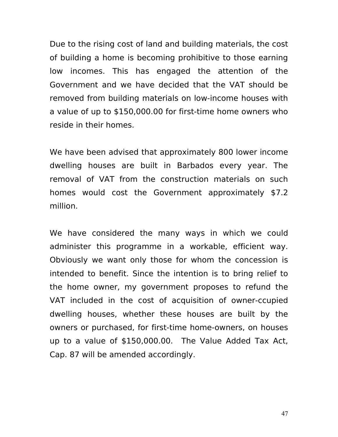Due to the rising cost of land and building materials, the cost of building a home is becoming prohibitive to those earning low incomes. This has engaged the attention of the Government and we have decided that the VAT should be removed from building materials on low-income houses with a value of up to \$150,000.00 for first-time home owners who reside in their homes.

We have been advised that approximately 800 lower income dwelling houses are built in Barbados every year. The removal of VAT from the construction materials on such homes would cost the Government approximately \$7.2 million.

We have considered the many ways in which we could administer this programme in a workable, efficient way. Obviously we want only those for whom the concession is intended to benefit. Since the intention is to bring relief to the home owner, my government proposes to refund the VAT included in the cost of acquisition of owner-ccupied dwelling houses, whether these houses are built by the owners or purchased, for first-time home-owners, on houses up to a value of \$150,000.00. The Value Added Tax Act, Cap. 87 will be amended accordingly.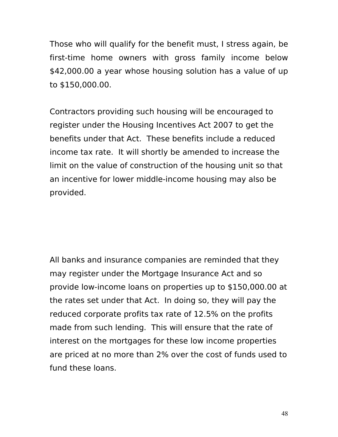Those who will qualify for the benefit must, I stress again, be first-time home owners with gross family income below \$42,000.00 a year whose housing solution has a value of up to \$150,000.00.

Contractors providing such housing will be encouraged to register under the Housing Incentives Act 2007 to get the benefits under that Act. These benefits include a reduced income tax rate. It will shortly be amended to increase the limit on the value of construction of the housing unit so that an incentive for lower middle-income housing may also be provided.

All banks and insurance companies are reminded that they may register under the Mortgage Insurance Act and so provide low-income loans on properties up to \$150,000.00 at the rates set under that Act. In doing so, they will pay the reduced corporate profits tax rate of 12.5% on the profits made from such lending. This will ensure that the rate of interest on the mortgages for these low income properties are priced at no more than 2% over the cost of funds used to fund these loans.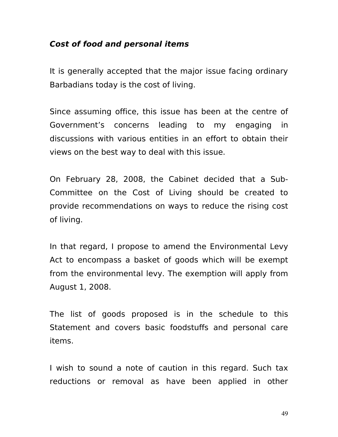#### **Cost of food and personal items**

It is generally accepted that the major issue facing ordinary Barbadians today is the cost of living.

Since assuming office, this issue has been at the centre of Government's concerns leading to my engaging in discussions with various entities in an effort to obtain their views on the best way to deal with this issue.

On February 28, 2008, the Cabinet decided that a Sub-Committee on the Cost of Living should be created to provide recommendations on ways to reduce the rising cost of living.

In that regard, I propose to amend the Environmental Levy Act to encompass a basket of goods which will be exempt from the environmental levy. The exemption will apply from August 1, 2008.

The list of goods proposed is in the schedule to this Statement and covers basic foodstuffs and personal care items.

I wish to sound a note of caution in this regard. Such tax reductions or removal as have been applied in other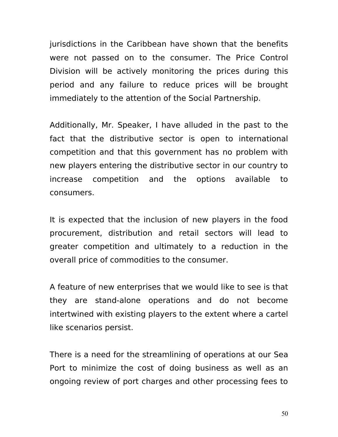jurisdictions in the Caribbean have shown that the benefits were not passed on to the consumer. The Price Control Division will be actively monitoring the prices during this period and any failure to reduce prices will be brought immediately to the attention of the Social Partnership.

Additionally, Mr. Speaker, I have alluded in the past to the fact that the distributive sector is open to international competition and that this government has no problem with new players entering the distributive sector in our country to increase competition and the options available to consumers.

It is expected that the inclusion of new players in the food procurement, distribution and retail sectors will lead to greater competition and ultimately to a reduction in the overall price of commodities to the consumer.

A feature of new enterprises that we would like to see is that they are stand-alone operations and do not become intertwined with existing players to the extent where a cartel like scenarios persist.

There is a need for the streamlining of operations at our Sea Port to minimize the cost of doing business as well as an ongoing review of port charges and other processing fees to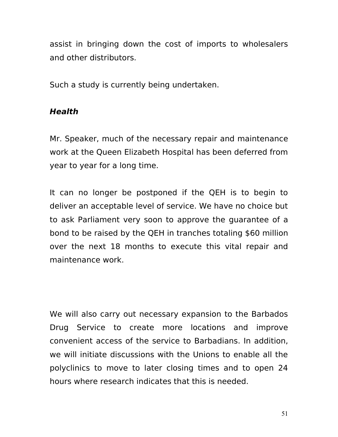assist in bringing down the cost of imports to wholesalers and other distributors.

Such a study is currently being undertaken.

# **Health**

Mr. Speaker, much of the necessary repair and maintenance work at the Queen Elizabeth Hospital has been deferred from year to year for a long time.

It can no longer be postponed if the QEH is to begin to deliver an acceptable level of service. We have no choice but to ask Parliament very soon to approve the guarantee of a bond to be raised by the QEH in tranches totaling \$60 million over the next 18 months to execute this vital repair and maintenance work.

We will also carry out necessary expansion to the Barbados Drug Service to create more locations and improve convenient access of the service to Barbadians. In addition, we will initiate discussions with the Unions to enable all the polyclinics to move to later closing times and to open 24 hours where research indicates that this is needed.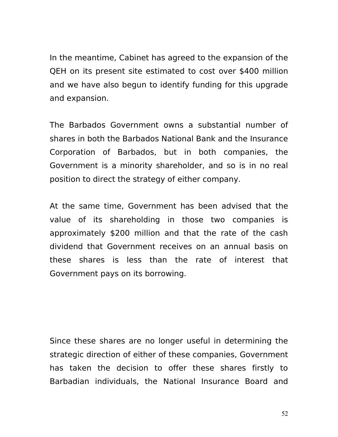In the meantime, Cabinet has agreed to the expansion of the QEH on its present site estimated to cost over \$400 million and we have also begun to identify funding for this upgrade and expansion.

The Barbados Government owns a substantial number of shares in both the Barbados National Bank and the Insurance Corporation of Barbados, but in both companies, the Government is a minority shareholder, and so is in no real position to direct the strategy of either company.

At the same time, Government has been advised that the value of its shareholding in those two companies is approximately \$200 million and that the rate of the cash dividend that Government receives on an annual basis on these shares is less than the rate of interest that Government pays on its borrowing.

Since these shares are no longer useful in determining the strategic direction of either of these companies, Government has taken the decision to offer these shares firstly to Barbadian individuals, the National Insurance Board and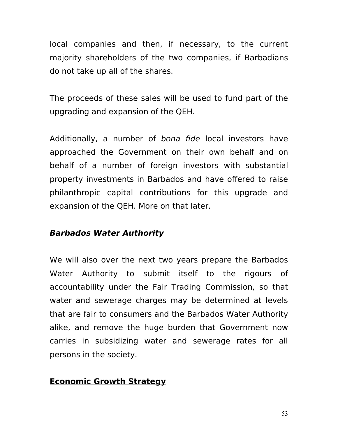local companies and then, if necessary, to the current majority shareholders of the two companies, if Barbadians do not take up all of the shares.

The proceeds of these sales will be used to fund part of the upgrading and expansion of the QEH.

Additionally, a number of bona fide local investors have approached the Government on their own behalf and on behalf of a number of foreign investors with substantial property investments in Barbados and have offered to raise philanthropic capital contributions for this upgrade and expansion of the QEH. More on that later.

# **Barbados Water Authority**

We will also over the next two years prepare the Barbados Water Authority to submit itself to the rigours of accountability under the Fair Trading Commission, so that water and sewerage charges may be determined at levels that are fair to consumers and the Barbados Water Authority alike, and remove the huge burden that Government now carries in subsidizing water and sewerage rates for all persons in the society.

# **Economic Growth Strategy**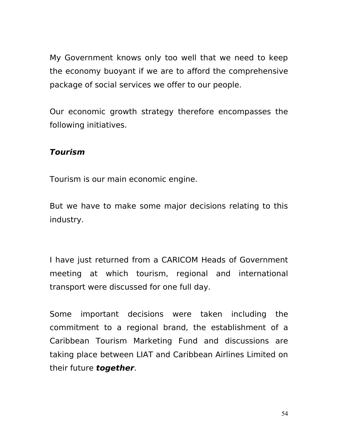My Government knows only too well that we need to keep the economy buoyant if we are to afford the comprehensive package of social services we offer to our people.

Our economic growth strategy therefore encompasses the following initiatives.

### **Tourism**

Tourism is our main economic engine.

But we have to make some major decisions relating to this industry.

I have just returned from a CARICOM Heads of Government meeting at which tourism, regional and international transport were discussed for one full day.

Some important decisions were taken including the commitment to a regional brand, the establishment of a Caribbean Tourism Marketing Fund and discussions are taking place between LIAT and Caribbean Airlines Limited on their future **together**.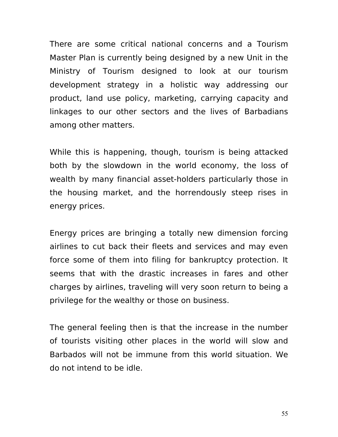There are some critical national concerns and a Tourism Master Plan is currently being designed by a new Unit in the Ministry of Tourism designed to look at our tourism development strategy in a holistic way addressing our product, land use policy, marketing, carrying capacity and linkages to our other sectors and the lives of Barbadians among other matters.

While this is happening, though, tourism is being attacked both by the slowdown in the world economy, the loss of wealth by many financial asset-holders particularly those in the housing market, and the horrendously steep rises in energy prices.

Energy prices are bringing a totally new dimension forcing airlines to cut back their fleets and services and may even force some of them into filing for bankruptcy protection. It seems that with the drastic increases in fares and other charges by airlines, traveling will very soon return to being a privilege for the wealthy or those on business.

The general feeling then is that the increase in the number of tourists visiting other places in the world will slow and Barbados will not be immune from this world situation. We do not intend to be idle.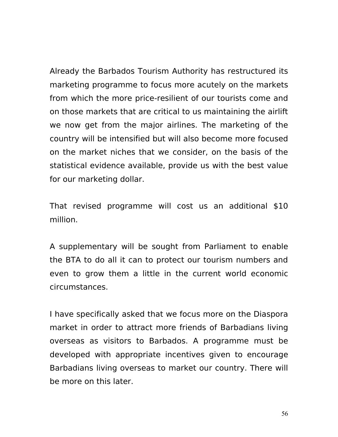Already the Barbados Tourism Authority has restructured its marketing programme to focus more acutely on the markets from which the more price-resilient of our tourists come and on those markets that are critical to us maintaining the airlift we now get from the major airlines. The marketing of the country will be intensified but will also become more focused on the market niches that we consider, on the basis of the statistical evidence available, provide us with the best value for our marketing dollar.

That revised programme will cost us an additional \$10 million.

A supplementary will be sought from Parliament to enable the BTA to do all it can to protect our tourism numbers and even to grow them a little in the current world economic circumstances.

I have specifically asked that we focus more on the Diaspora market in order to attract more friends of Barbadians living overseas as visitors to Barbados. A programme must be developed with appropriate incentives given to encourage Barbadians living overseas to market our country. There will be more on this later.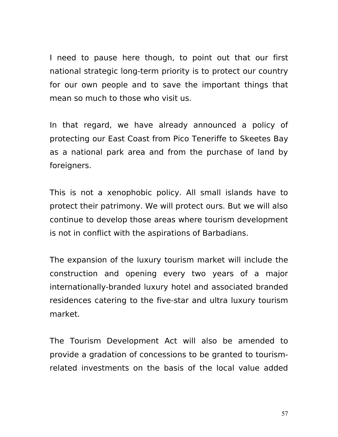I need to pause here though, to point out that our first national strategic long-term priority is to protect our country for our own people and to save the important things that mean so much to those who visit us.

In that regard, we have already announced a policy of protecting our East Coast from Pico Teneriffe to Skeetes Bay as a national park area and from the purchase of land by foreigners.

This is not a xenophobic policy. All small islands have to protect their patrimony. We will protect ours. But we will also continue to develop those areas where tourism development is not in conflict with the aspirations of Barbadians.

The expansion of the luxury tourism market will include the construction and opening every two years of a major internationally-branded luxury hotel and associated branded residences catering to the five-star and ultra luxury tourism market.

The Tourism Development Act will also be amended to provide a gradation of concessions to be granted to tourismrelated investments on the basis of the local value added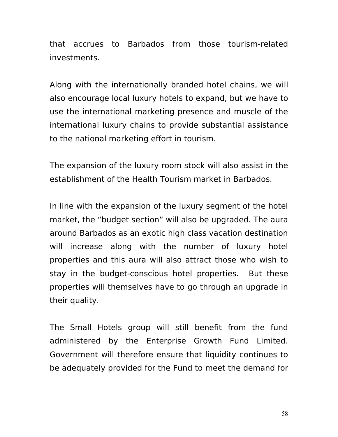that accrues to Barbados from those tourism-related investments.

Along with the internationally branded hotel chains, we will also encourage local luxury hotels to expand, but we have to use the international marketing presence and muscle of the international luxury chains to provide substantial assistance to the national marketing effort in tourism.

The expansion of the luxury room stock will also assist in the establishment of the Health Tourism market in Barbados.

In line with the expansion of the luxury segment of the hotel market, the "budget section" will also be upgraded. The aura around Barbados as an exotic high class vacation destination will increase along with the number of luxury hotel properties and this aura will also attract those who wish to stay in the budget-conscious hotel properties.But these properties will themselves have to go through an upgrade in their quality.

The Small Hotels group will still benefit from the fund administered by the Enterprise Growth Fund Limited. Government will therefore ensure that liquidity continues to be adequately provided for the Fund to meet the demand for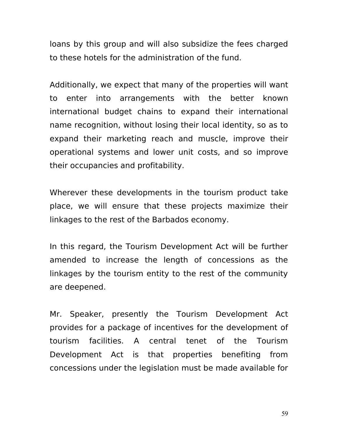loans by this group and will also subsidize the fees charged to these hotels for the administration of the fund.

Additionally, we expect that many of the properties will want to enter into arrangements with the better known international budget chains to expand their international name recognition, without losing their local identity, so as to expand their marketing reach and muscle, improve their operational systems and lower unit costs, and so improve their occupancies and profitability.

Wherever these developments in the tourism product take place, we will ensure that these projects maximize their linkages to the rest of the Barbados economy.

In this regard, the Tourism Development Act will be further amended to increase the length of concessions as the linkages by the tourism entity to the rest of the community are deepened.

Mr. Speaker, presently the Tourism Development Act provides for a package of incentives for the development of tourism facilities. A central tenet of the Tourism Development Act is that properties benefiting from concessions under the legislation must be made available for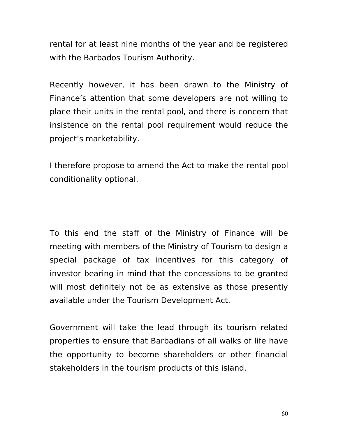rental for at least nine months of the year and be registered with the Barbados Tourism Authority.

Recently however, it has been drawn to the Ministry of Finance's attention that some developers are not willing to place their units in the rental pool, and there is concern that insistence on the rental pool requirement would reduce the project's marketability.

I therefore propose to amend the Act to make the rental pool conditionality optional.

To this end the staff of the Ministry of Finance will be meeting with members of the Ministry of Tourism to design a special package of tax incentives for this category of investor bearing in mind that the concessions to be granted will most definitely not be as extensive as those presently available under the Tourism Development Act.

Government will take the lead through its tourism related properties to ensure that Barbadians of all walks of life have the opportunity to become shareholders or other financial stakeholders in the tourism products of this island.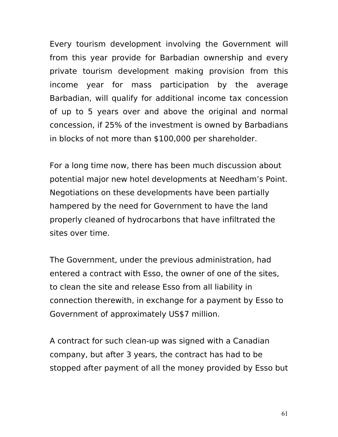Every tourism development involving the Government will from this year provide for Barbadian ownership and every private tourism development making provision from this income year for mass participation by the average Barbadian, will qualify for additional income tax concession of up to 5 years over and above the original and normal concession, if 25% of the investment is owned by Barbadians in blocks of not more than \$100,000 per shareholder.

For a long time now, there has been much discussion about potential major new hotel developments at Needham's Point. Negotiations on these developments have been partially hampered by the need for Government to have the land properly cleaned of hydrocarbons that have infiltrated the sites over time.

The Government, under the previous administration, had entered a contract with Esso, the owner of one of the sites, to clean the site and release Esso from all liability in connection therewith, in exchange for a payment by Esso to Government of approximately US\$7 million.

A contract for such clean-up was signed with a Canadian company, but after 3 years, the contract has had to be stopped after payment of all the money provided by Esso but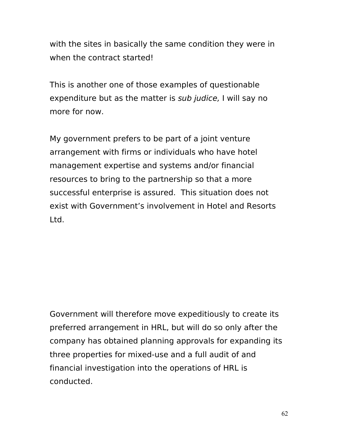with the sites in basically the same condition they were in when the contract started!

This is another one of those examples of questionable expenditure but as the matter is sub judice, I will say no more for now.

My government prefers to be part of a joint venture arrangement with firms or individuals who have hotel management expertise and systems and/or financial resources to bring to the partnership so that a more successful enterprise is assured. This situation does not exist with Government's involvement in Hotel and Resorts Ltd.

Government will therefore move expeditiously to create its preferred arrangement in HRL, but will do so only after the company has obtained planning approvals for expanding its three properties for mixed-use and a full audit of and financial investigation into the operations of HRL is conducted.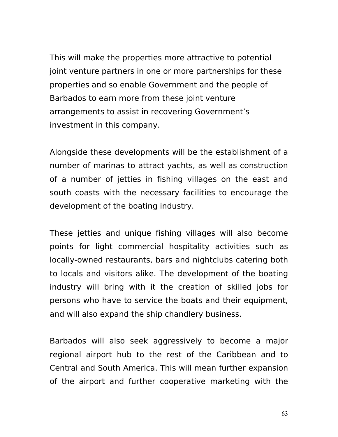This will make the properties more attractive to potential joint venture partners in one or more partnerships for these properties and so enable Government and the people of Barbados to earn more from these joint venture arrangements to assist in recovering Government's investment in this company.

Alongside these developments will be the establishment of a number of marinas to attract yachts, as well as construction of a number of jetties in fishing villages on the east and south coasts with the necessary facilities to encourage the development of the boating industry.

These jetties and unique fishing villages will also become points for light commercial hospitality activities such as locally-owned restaurants, bars and nightclubs catering both to locals and visitors alike. The development of the boating industry will bring with it the creation of skilled jobs for persons who have to service the boats and their equipment, and will also expand the ship chandlery business.

Barbados will also seek aggressively to become a major regional airport hub to the rest of the Caribbean and to Central and South America. This will mean further expansion of the airport and further cooperative marketing with the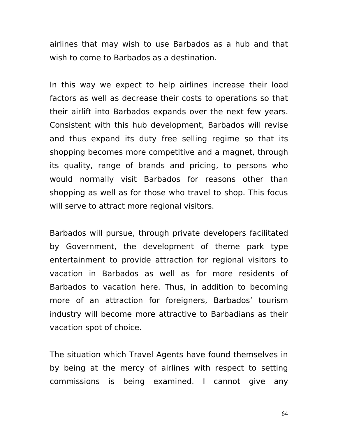airlines that may wish to use Barbados as a hub and that wish to come to Barbados as a destination.

In this way we expect to help airlines increase their load factors as well as decrease their costs to operations so that their airlift into Barbados expands over the next few years. Consistent with this hub development, Barbados will revise and thus expand its duty free selling regime so that its shopping becomes more competitive and a magnet, through its quality, range of brands and pricing, to persons who would normally visit Barbados for reasons other than shopping as well as for those who travel to shop. This focus will serve to attract more regional visitors.

Barbados will pursue, through private developers facilitated by Government, the development of theme park type entertainment to provide attraction for regional visitors to vacation in Barbados as well as for more residents of Barbados to vacation here. Thus, in addition to becoming more of an attraction for foreigners, Barbados' tourism industry will become more attractive to Barbadians as their vacation spot of choice.

The situation which Travel Agents have found themselves in by being at the mercy of airlines with respect to setting commissions is being examined. I cannot give any

64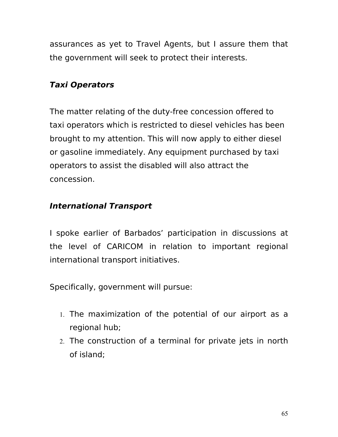assurances as yet to Travel Agents, but I assure them that the government will seek to protect their interests.

# **Taxi Operators**

The matter relating of the duty-free concession offered to taxi operators which is restricted to diesel vehicles has been brought to my attention. This will now apply to either diesel or gasoline immediately. Any equipment purchased by taxi operators to assist the disabled will also attract the concession.

# **International Transport**

I spoke earlier of Barbados' participation in discussions at the level of CARICOM in relation to important regional international transport initiatives.

Specifically, government will pursue:

- 1. The maximization of the potential of our airport as a regional hub;
- 2. The construction of a terminal for private jets in north of island;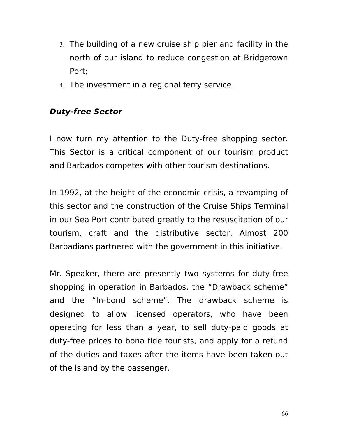- 3. The building of a new cruise ship pier and facility in the north of our island to reduce congestion at Bridgetown Port;
- 4. The investment in a regional ferry service.

# **Duty-free Sector**

I now turn my attention to the Duty-free shopping sector. This Sector is a critical component of our tourism product and Barbados competes with other tourism destinations.

In 1992, at the height of the economic crisis, a revamping of this sector and the construction of the Cruise Ships Terminal in our Sea Port contributed greatly to the resuscitation of our tourism, craft and the distributive sector. Almost 200 Barbadians partnered with the government in this initiative.

Mr. Speaker, there are presently two systems for duty-free shopping in operation in Barbados, the "Drawback scheme" and the "In-bond scheme". The drawback scheme is designed to allow licensed operators, who have been operating for less than a year, to sell duty-paid goods at duty-free prices to bona fide tourists, and apply for a refund of the duties and taxes after the items have been taken out of the island by the passenger.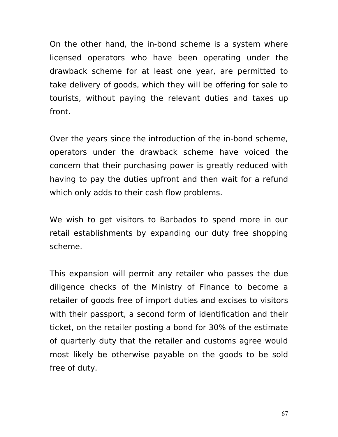On the other hand, the in-bond scheme is a system where licensed operators who have been operating under the drawback scheme for at least one year, are permitted to take delivery of goods, which they will be offering for sale to tourists, without paying the relevant duties and taxes up front.

Over the years since the introduction of the in-bond scheme, operators under the drawback scheme have voiced the concern that their purchasing power is greatly reduced with having to pay the duties upfront and then wait for a refund which only adds to their cash flow problems.

We wish to get visitors to Barbados to spend more in our retail establishments by expanding our duty free shopping scheme.

This expansion will permit any retailer who passes the due diligence checks of the Ministry of Finance to become a retailer of goods free of import duties and excises to visitors with their passport, a second form of identification and their ticket, on the retailer posting a bond for 30% of the estimate of quarterly duty that the retailer and customs agree would most likely be otherwise payable on the goods to be sold free of duty.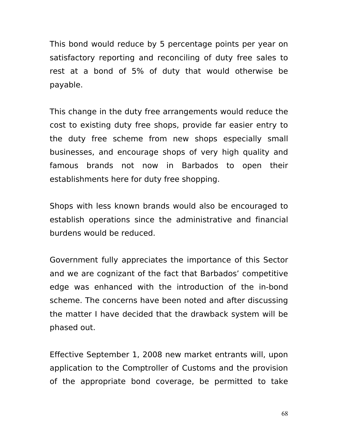This bond would reduce by 5 percentage points per year on satisfactory reporting and reconciling of duty free sales to rest at a bond of 5% of duty that would otherwise be payable.

This change in the duty free arrangements would reduce the cost to existing duty free shops, provide far easier entry to the duty free scheme from new shops especially small businesses, and encourage shops of very high quality and famous brands not now in Barbados to open their establishments here for duty free shopping.

Shops with less known brands would also be encouraged to establish operations since the administrative and financial burdens would be reduced.

Government fully appreciates the importance of this Sector and we are cognizant of the fact that Barbados' competitive edge was enhanced with the introduction of the in-bond scheme. The concerns have been noted and after discussing the matter I have decided that the drawback system will be phased out.

Effective September 1, 2008 new market entrants will, upon application to the Comptroller of Customs and the provision of the appropriate bond coverage, be permitted to take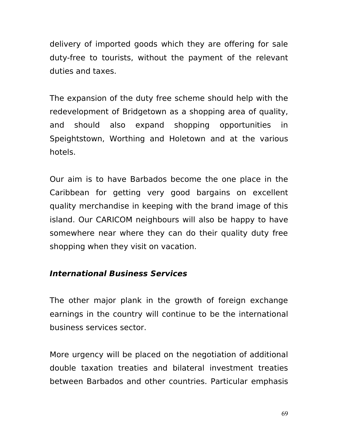delivery of imported goods which they are offering for sale duty-free to tourists, without the payment of the relevant duties and taxes.

The expansion of the duty free scheme should help with the redevelopment of Bridgetown as a shopping area of quality, and should also expand shopping opportunities in Speightstown, Worthing and Holetown and at the various hotels.

Our aim is to have Barbados become the one place in the Caribbean for getting very good bargains on excellent quality merchandise in keeping with the brand image of this island. Our CARICOM neighbours will also be happy to have somewhere near where they can do their quality duty free shopping when they visit on vacation.

### **International Business Services**

The other major plank in the growth of foreign exchange earnings in the country will continue to be the international business services sector.

More urgency will be placed on the negotiation of additional double taxation treaties and bilateral investment treaties between Barbados and other countries. Particular emphasis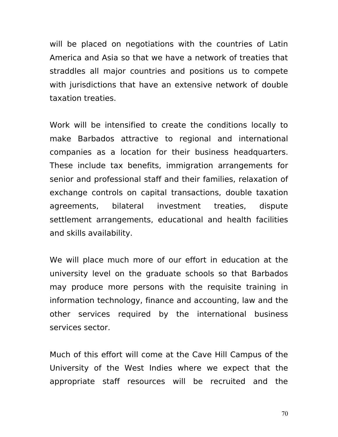will be placed on negotiations with the countries of Latin America and Asia so that we have a network of treaties that straddles all major countries and positions us to compete with jurisdictions that have an extensive network of double taxation treaties.

Work will be intensified to create the conditions locally to make Barbados attractive to regional and international companies as a location for their business headquarters. These include tax benefits, immigration arrangements for senior and professional staff and their families, relaxation of exchange controls on capital transactions, double taxation agreements, bilateral investment treaties, dispute settlement arrangements, educational and health facilities and skills availability.

We will place much more of our effort in education at the university level on the graduate schools so that Barbados may produce more persons with the requisite training in information technology, finance and accounting, law and the other services required by the international business services sector.

Much of this effort will come at the Cave Hill Campus of the University of the West Indies where we expect that the appropriate staff resources will be recruited and the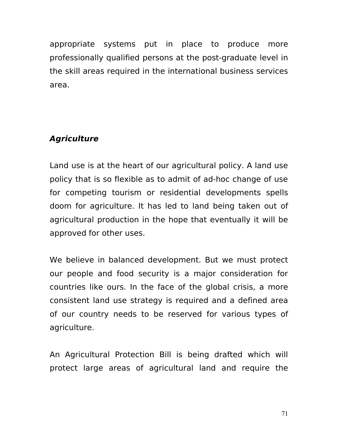appropriate systems put in place to produce more professionally qualified persons at the post-graduate level in the skill areas required in the international business services area.

# **Agriculture**

Land use is at the heart of our agricultural policy. A land use policy that is so flexible as to admit of ad-hoc change of use for competing tourism or residential developments spells doom for agriculture. It has led to land being taken out of agricultural production in the hope that eventually it will be approved for other uses.

We believe in balanced development. But we must protect our people and food security is a major consideration for countries like ours. In the face of the global crisis, a more consistent land use strategy is required and a defined area of our country needs to be reserved for various types of agriculture.

An Agricultural Protection Bill is being drafted which will protect large areas of agricultural land and require the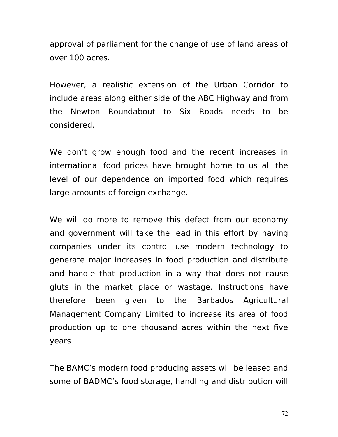approval of parliament for the change of use of land areas of over 100 acres.

However, a realistic extension of the Urban Corridor to include areas along either side of the ABC Highway and from the Newton Roundabout to Six Roads needs to be considered.

We don't grow enough food and the recent increases in international food prices have brought home to us all the level of our dependence on imported food which requires large amounts of foreign exchange.

We will do more to remove this defect from our economy and government will take the lead in this effort by having companies under its control use modern technology to generate major increases in food production and distribute and handle that production in a way that does not cause gluts in the market place or wastage. Instructions have therefore been given to the Barbados Agricultural Management Company Limited to increase its area of food production up to one thousand acres within the next five years

The BAMC's modern food producing assets will be leased and some of BADMC's food storage, handling and distribution will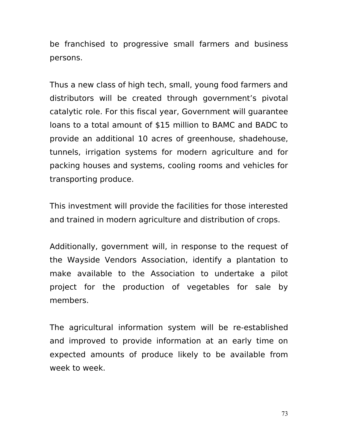be franchised to progressive small farmers and business persons.

Thus a new class of high tech, small, young food farmers and distributors will be created through government's pivotal catalytic role. For this fiscal year, Government will guarantee loans to a total amount of \$15 million to BAMC and BADC to provide an additional 10 acres of greenhouse, shadehouse, tunnels, irrigation systems for modern agriculture and for packing houses and systems, cooling rooms and vehicles for transporting produce.

This investment will provide the facilities for those interested and trained in modern agriculture and distribution of crops.

Additionally, government will, in response to the request of the Wayside Vendors Association, identify a plantation to make available to the Association to undertake a pilot project for the production of vegetables for sale by members.

The agricultural information system will be re-established and improved to provide information at an early time on expected amounts of produce likely to be available from week to week.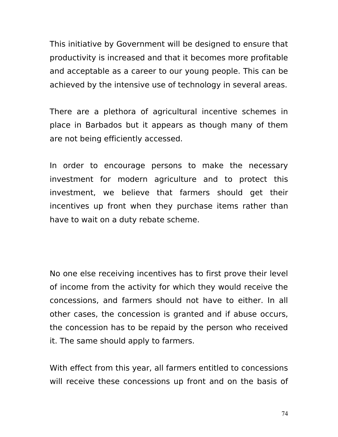This initiative by Government will be designed to ensure that productivity is increased and that it becomes more profitable and acceptable as a career to our young people. This can be achieved by the intensive use of technology in several areas.

There are a plethora of agricultural incentive schemes in place in Barbados but it appears as though many of them are not being efficiently accessed.

In order to encourage persons to make the necessary investment for modern agriculture and to protect this investment, we believe that farmers should get their incentives up front when they purchase items rather than have to wait on a duty rebate scheme.

No one else receiving incentives has to first prove their level of income from the activity for which they would receive the concessions, and farmers should not have to either. In all other cases, the concession is granted and if abuse occurs, the concession has to be repaid by the person who received it. The same should apply to farmers.

With effect from this year, all farmers entitled to concessions will receive these concessions up front and on the basis of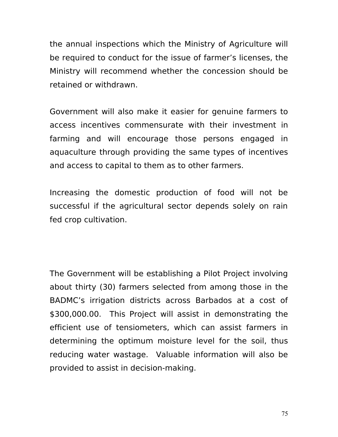the annual inspections which the Ministry of Agriculture will be required to conduct for the issue of farmer's licenses, the Ministry will recommend whether the concession should be retained or withdrawn.

Government will also make it easier for genuine farmers to access incentives commensurate with their investment in farming and will encourage those persons engaged in aquaculture through providing the same types of incentives and access to capital to them as to other farmers.

Increasing the domestic production of food will not be successful if the agricultural sector depends solely on rain fed crop cultivation.

The Government will be establishing a Pilot Project involving about thirty (30) farmers selected from among those in the BADMC's irrigation districts across Barbados at a cost of \$300,000.00. This Project will assist in demonstrating the efficient use of tensiometers, which can assist farmers in determining the optimum moisture level for the soil, thus reducing water wastage. Valuable information will also be provided to assist in decision-making.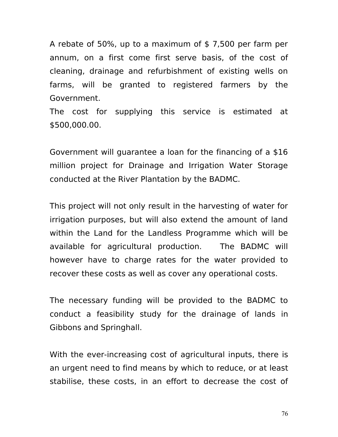A rebate of 50%, up to a maximum of \$7,500 per farm per annum, on a first come first serve basis, of the cost of cleaning, drainage and refurbishment of existing wells on farms, will be granted to registered farmers by the Government.

The cost for supplying this service is estimated at \$500,000.00.

Government will guarantee a loan for the financing of a \$16 million project for Drainage and Irrigation Water Storage conducted at the River Plantation by the BADMC.

This project will not only result in the harvesting of water for irrigation purposes, but will also extend the amount of land within the Land for the Landless Programme which will be available for agricultural production. The BADMC will however have to charge rates for the water provided to recover these costs as well as cover any operational costs.

The necessary funding will be provided to the BADMC to conduct a feasibility study for the drainage of lands in Gibbons and Springhall.

With the ever-increasing cost of agricultural inputs, there is an urgent need to find means by which to reduce, or at least stabilise, these costs, in an effort to decrease the cost of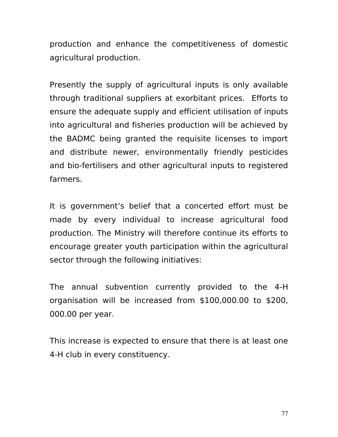production and enhance the competitiveness of domestic agricultural production.

Presently the supply of agricultural inputs is only available through traditional suppliers at exorbitant prices. Efforts to ensure the adequate supply and efficient utilisation of inputs into agricultural and fisheries production will be achieved by the BADMC being granted the requisite licenses to import and distribute newer, environmentally friendly pesticides and bio-fertilisers and other agricultural inputs to registered farmers.

It is government's belief that a concerted effort must be made by every individual to increase agricultural food production. The Ministry will therefore continue its efforts to encourage greater youth participation within the agricultural sector through the following initiatives:

The annual subvention currently provided to the 4-H organisation will be increased from \$100,000.00 to \$200, 000.00 per year.

This increase is expected to ensure that there is at least one 4-H club in every constituency.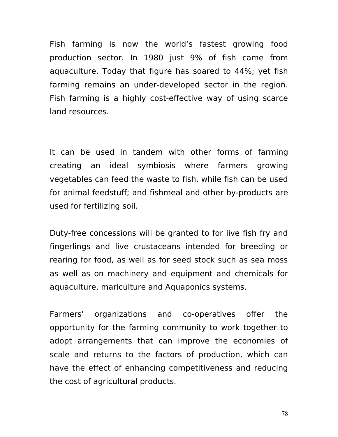Fish farming is now the world's fastest growing food production sector. In 1980 just 9% of fish came from aquaculture. Today that figure has soared to 44%; yet fish farming remains an under-developed sector in the region. Fish farming is a highly cost-effective way of using scarce land resources.

It can be used in tandem with other forms of farming creating an ideal symbiosis where farmers growing vegetables can feed the waste to fish, while fish can be used for animal feedstuff; and fishmeal and other by-products are used for fertilizing soil.

Duty-free concessions will be granted to for live fish fry and fingerlings and live crustaceans intended for breeding or rearing for food, as well as for seed stock such as sea moss as well as on machinery and equipment and chemicals for aquaculture, mariculture and Aquaponics systems.

Farmers' organizations and co-operatives offer the opportunity for the farming community to work together to adopt arrangements that can improve the economies of scale and returns to the factors of production, which can have the effect of enhancing competitiveness and reducing the cost of agricultural products.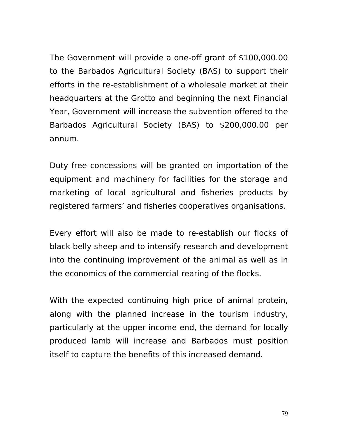The Government will provide a one-off grant of \$100,000.00 to the Barbados Agricultural Society (BAS) to support their efforts in the re-establishment of a wholesale market at their headquarters at the Grotto and beginning the next Financial Year, Government will increase the subvention offered to the Barbados Agricultural Society (BAS) to \$200,000.00 per annum.

Duty free concessions will be granted on importation of the equipment and machinery for facilities for the storage and marketing of local agricultural and fisheries products by registered farmers' and fisheries cooperatives organisations.

Every effort will also be made to re-establish our flocks of black belly sheep and to intensify research and development into the continuing improvement of the animal as well as in the economics of the commercial rearing of the flocks.

With the expected continuing high price of animal protein, along with the planned increase in the tourism industry, particularly at the upper income end, the demand for locally produced lamb will increase and Barbados must position itself to capture the benefits of this increased demand.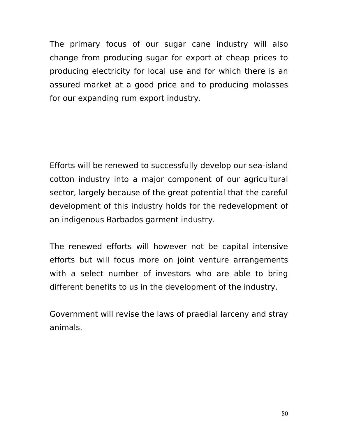The primary focus of our sugar cane industry will also change from producing sugar for export at cheap prices to producing electricity for local use and for which there is an assured market at a good price and to producing molasses for our expanding rum export industry.

Efforts will be renewed to successfully develop our sea-island cotton industry into a major component of our agricultural sector, largely because of the great potential that the careful development of this industry holds for the redevelopment of an indigenous Barbados garment industry.

The renewed efforts will however not be capital intensive efforts but will focus more on joint venture arrangements with a select number of investors who are able to bring different benefits to us in the development of the industry.

Government will revise the laws of praedial larceny and stray animals.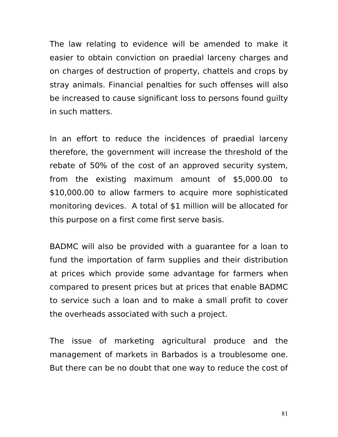The law relating to evidence will be amended to make it easier to obtain conviction on praedial larceny charges and on charges of destruction of property, chattels and crops by stray animals. Financial penalties for such offenses will also be increased to cause significant loss to persons found guilty in such matters.

In an effort to reduce the incidences of praedial larceny therefore, the government will increase the threshold of the rebate of 50% of the cost of an approved security system, from the existing maximum amount of \$5,000.00 to \$10,000.00 to allow farmers to acquire more sophisticated monitoring devices. A total of \$1 million will be allocated for this purpose on a first come first serve basis.

BADMC will also be provided with a guarantee for a loan to fund the importation of farm supplies and their distribution at prices which provide some advantage for farmers when compared to present prices but at prices that enable BADMC to service such a loan and to make a small profit to cover the overheads associated with such a project.

The issue of marketing agricultural produce and the management of markets in Barbados is a troublesome one. But there can be no doubt that one way to reduce the cost of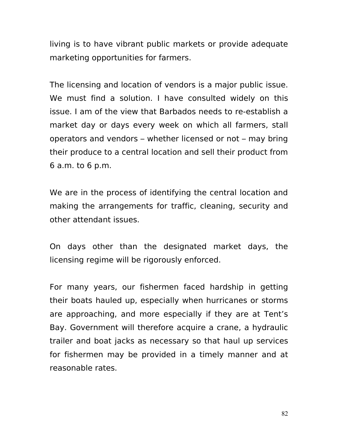living is to have vibrant public markets or provide adequate marketing opportunities for farmers.

The licensing and location of vendors is a major public issue. We must find a solution. I have consulted widely on this issue. I am of the view that Barbados needs to re-establish a market day or days every week on which all farmers, stall operators and vendors – whether licensed or not – may bring their produce to a central location and sell their product from 6 a.m. to 6 p.m.

We are in the process of identifying the central location and making the arrangements for traffic, cleaning, security and other attendant issues.

On days other than the designated market days, the licensing regime will be rigorously enforced.

For many years, our fishermen faced hardship in getting their boats hauled up, especially when hurricanes or storms are approaching, and more especially if they are at Tent's Bay. Government will therefore acquire a crane, a hydraulic trailer and boat jacks as necessary so that haul up services for fishermen may be provided in a timely manner and at reasonable rates.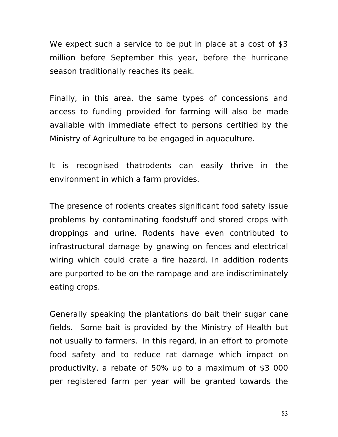We expect such a service to be put in place at a cost of \$3 million before September this year, before the hurricane season traditionally reaches its peak.

Finally, in this area, the same types of concessions and access to funding provided for farming will also be made available with immediate effect to persons certified by the Ministry of Agriculture to be engaged in aquaculture.

It is recognised thatrodents can easily thrive in the environment in which a farm provides.

The presence of rodents creates significant food safety issue problems by contaminating foodstuff and stored crops with droppings and urine. Rodents have even contributed to infrastructural damage by gnawing on fences and electrical wiring which could crate a fire hazard. In addition rodents are purported to be on the rampage and are indiscriminately eating crops.

Generally speaking the plantations do bait their sugar cane fields. Some bait is provided by the Ministry of Health but not usually to farmers. In this regard, in an effort to promote food safety and to reduce rat damage which impact on productivity, a rebate of 50% up to a maximum of \$3 000 per registered farm per year will be granted towards the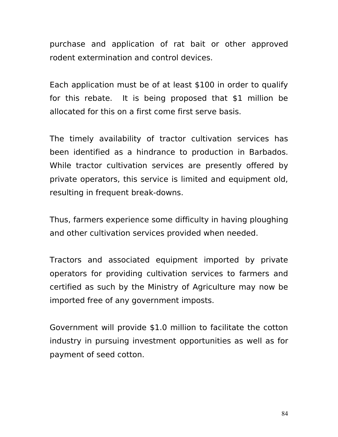purchase and application of rat bait or other approved rodent extermination and control devices.

Each application must be of at least \$100 in order to qualify for this rebate. It is being proposed that \$1 million be allocated for this on a first come first serve basis.

The timely availability of tractor cultivation services has been identified as a hindrance to production in Barbados. While tractor cultivation services are presently offered by private operators, this service is limited and equipment old, resulting in frequent break-downs.

Thus, farmers experience some difficulty in having ploughing and other cultivation services provided when needed.

Tractors and associated equipment imported by private operators for providing cultivation services to farmers and certified as such by the Ministry of Agriculture may now be imported free of any government imposts.

Government will provide \$1.0 million to facilitate the cotton industry in pursuing investment opportunities as well as for payment of seed cotton.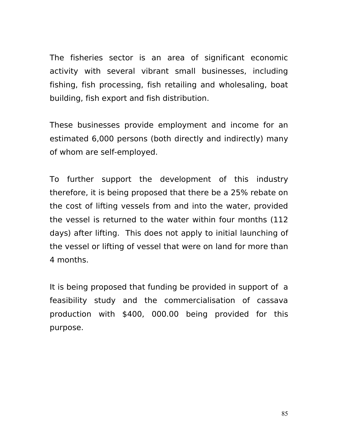The fisheries sector is an area of significant economic activity with several vibrant small businesses, including fishing, fish processing, fish retailing and wholesaling, boat building, fish export and fish distribution.

These businesses provide employment and income for an estimated 6,000 persons (both directly and indirectly) many of whom are self-employed.

To further support the development of this industry therefore, it is being proposed that there be a 25% rebate on the cost of lifting vessels from and into the water, provided the vessel is returned to the water within four months (112 days) after lifting. This does not apply to initial launching of the vessel or lifting of vessel that were on land for more than 4 months.

It is being proposed that funding be provided in support of a feasibility study and the commercialisation of cassava production with \$400, 000.00 being provided for this purpose.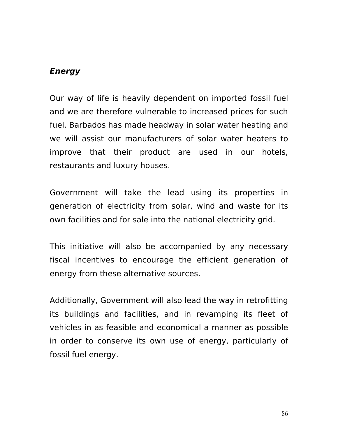#### **Energy**

Our way of life is heavily dependent on imported fossil fuel and we are therefore vulnerable to increased prices for such fuel. Barbados has made headway in solar water heating and we will assist our manufacturers of solar water heaters to improve that their product are used in our hotels, restaurants and luxury houses.

Government will take the lead using its properties in generation of electricity from solar, wind and waste for its own facilities and for sale into the national electricity grid.

This initiative will also be accompanied by any necessary fiscal incentives to encourage the efficient generation of energy from these alternative sources.

Additionally, Government will also lead the way in retrofitting its buildings and facilities, and in revamping its fleet of vehicles in as feasible and economical a manner as possible in order to conserve its own use of energy, particularly of fossil fuel energy.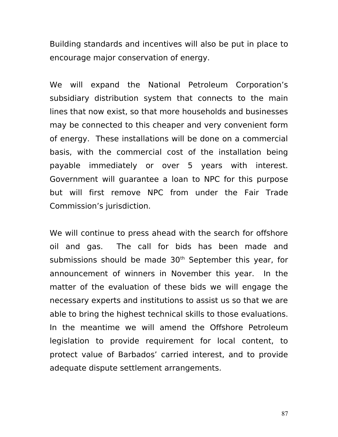Building standards and incentives will also be put in place to encourage major conservation of energy.

We will expand the National Petroleum Corporation's subsidiary distribution system that connects to the main lines that now exist, so that more households and businesses may be connected to this cheaper and very convenient form of energy. These installations will be done on a commercial basis, with the commercial cost of the installation being payable immediately or over 5 years with interest. Government will guarantee a loan to NPC for this purpose but will first remove NPC from under the Fair Trade Commission's jurisdiction.

We will continue to press ahead with the search for offshore oil and gas. The call for bids has been made and submissions should be made 30<sup>th</sup> September this year, for announcement of winners in November this year. In the matter of the evaluation of these bids we will engage the necessary experts and institutions to assist us so that we are able to bring the highest technical skills to those evaluations. In the meantime we will amend the Offshore Petroleum legislation to provide requirement for local content, to protect value of Barbados' carried interest, and to provide adequate dispute settlement arrangements.

87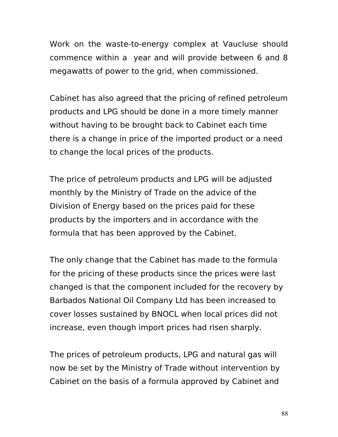Work on the waste-to-energy complex at Vaucluse should commence within a year and will provide between 6 and 8 megawatts of power to the grid, when commissioned.

Cabinet has also agreed that the pricing of refined petroleum products and LPG should be done in a more timely manner without having to be brought back to Cabinet each time there is a change in price of the imported product or a need to change the local prices of the products.

The price of petroleum products and LPG will be adjusted monthly by the Ministry of Trade on the advice of the Division of Energy based on the prices paid for these products by the importers and in accordance with the formula that has been approved by the Cabinet.

The only change that the Cabinet has made to the formula for the pricing of these products since the prices were last changed is that the component included for the recovery by Barbados National Oil Company Ltd has been increased to cover losses sustained by BNOCL when local prices did not increase, even though import prices had risen sharply.

The prices of petroleum products, LPG and natural gas will now be set by the Ministry of Trade without intervention by Cabinet on the basis of a formula approved by Cabinet and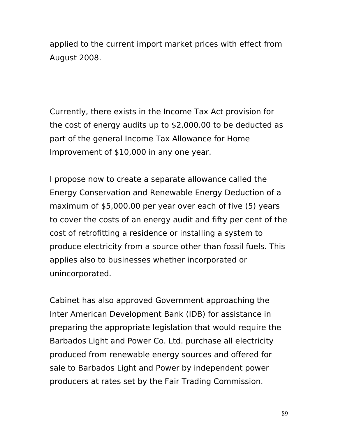applied to the current import market prices with effect from August 2008.

Currently, there exists in the Income Tax Act provision for the cost of energy audits up to \$2,000.00 to be deducted as part of the general Income Tax Allowance for Home Improvement of \$10,000 in any one year.

I propose now to create a separate allowance called the Energy Conservation and Renewable Energy Deduction of a maximum of \$5,000.00 per year over each of five (5) years to cover the costs of an energy audit and fifty per cent of the cost of retrofitting a residence or installing a system to produce electricity from a source other than fossil fuels. This applies also to businesses whether incorporated or unincorporated.

Cabinet has also approved Government approaching the Inter American Development Bank (IDB) for assistance in preparing the appropriate legislation that would require the Barbados Light and Power Co. Ltd. purchase all electricity produced from renewable energy sources and offered for sale to Barbados Light and Power by independent power producers at rates set by the Fair Trading Commission.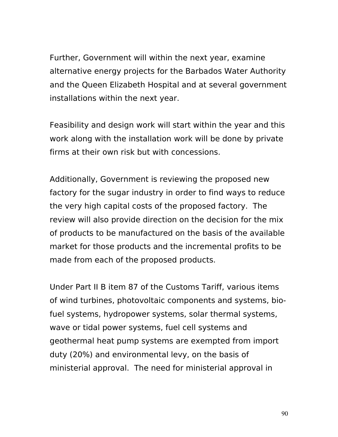Further, Government will within the next year, examine alternative energy projects for the Barbados Water Authority and the Queen Elizabeth Hospital and at several government installations within the next year.

Feasibility and design work will start within the year and this work along with the installation work will be done by private firms at their own risk but with concessions.

Additionally, Government is reviewing the proposed new factory for the sugar industry in order to find ways to reduce the very high capital costs of the proposed factory. The review will also provide direction on the decision for the mix of products to be manufactured on the basis of the available market for those products and the incremental profits to be made from each of the proposed products.

Under Part II B item 87 of the Customs Tariff, various items of wind turbines, photovoltaic components and systems, biofuel systems, hydropower systems, solar thermal systems, wave or tidal power systems, fuel cell systems and geothermal heat pump systems are exempted from import duty (20%) and environmental levy, on the basis of ministerial approval. The need for ministerial approval in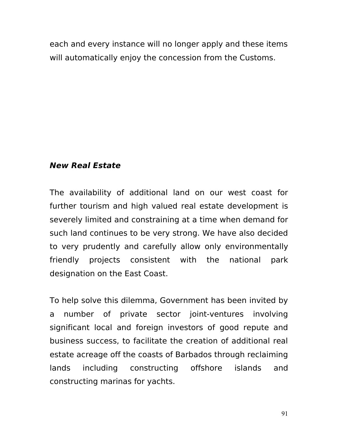each and every instance will no longer apply and these items will automatically enjoy the concession from the Customs.

#### **New Real Estate**

The availability of additional land on our west coast for further tourism and high valued real estate development is severely limited and constraining at a time when demand for such land continues to be very strong. We have also decided to very prudently and carefully allow only environmentally friendly projects consistent with the national park designation on the East Coast.

To help solve this dilemma, Government has been invited by a number of private sector joint-ventures involving significant local and foreign investors of good repute and business success, to facilitate the creation of additional real estate acreage off the coasts of Barbados through reclaiming lands including constructing offshore islands and constructing marinas for yachts.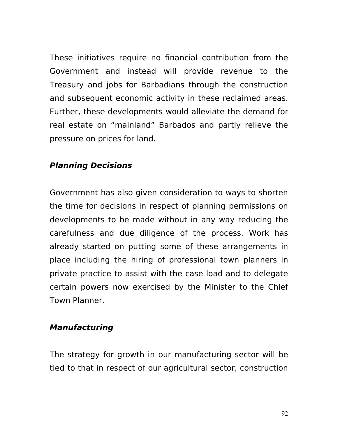These initiatives require no financial contribution from the Government and instead will provide revenue to the Treasury and jobs for Barbadians through the construction and subsequent economic activity in these reclaimed areas. Further, these developments would alleviate the demand for real estate on "mainland" Barbados and partly relieve the pressure on prices for land.

#### **Planning Decisions**

Government has also given consideration to ways to shorten the time for decisions in respect of planning permissions on developments to be made without in any way reducing the carefulness and due diligence of the process. Work has already started on putting some of these arrangements in place including the hiring of professional town planners in private practice to assist with the case load and to delegate certain powers now exercised by the Minister to the Chief Town Planner.

#### **Manufacturing**

The strategy for growth in our manufacturing sector will be tied to that in respect of our agricultural sector, construction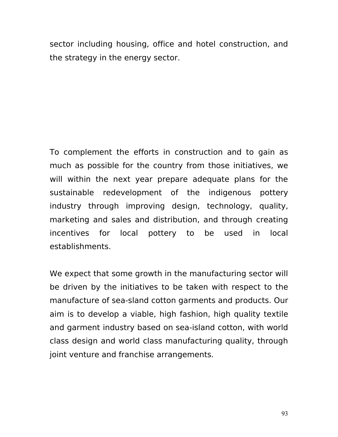sector including housing, office and hotel construction, and the strategy in the energy sector.

To complement the efforts in construction and to gain as much as possible for the country from those initiatives, we will within the next year prepare adequate plans for the sustainable redevelopment of the indigenous pottery industry through improving design, technology, quality, marketing and sales and distribution, and through creating incentives for local pottery to be used in local establishments.

We expect that some growth in the manufacturing sector will be driven by the initiatives to be taken with respect to the manufacture of sea-sland cotton garments and products. Our aim is to develop a viable, high fashion, high quality textile and garment industry based on sea-island cotton, with world class design and world class manufacturing quality, through joint venture and franchise arrangements.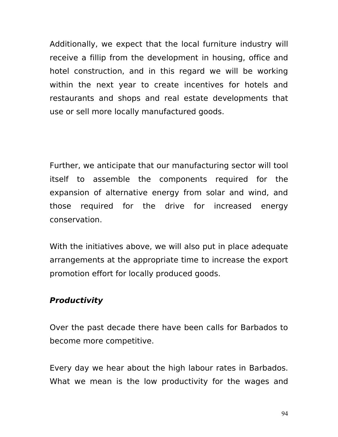Additionally, we expect that the local furniture industry will receive a fillip from the development in housing, office and hotel construction, and in this regard we will be working within the next year to create incentives for hotels and restaurants and shops and real estate developments that use or sell more locally manufactured goods.

Further, we anticipate that our manufacturing sector will tool itself to assemble the components required for the expansion of alternative energy from solar and wind, and those required for the drive for increased energy conservation.

With the initiatives above, we will also put in place adequate arrangements at the appropriate time to increase the export promotion effort for locally produced goods.

#### **Productivity**

Over the past decade there have been calls for Barbados to become more competitive.

Every day we hear about the high labour rates in Barbados. What we mean is the low productivity for the wages and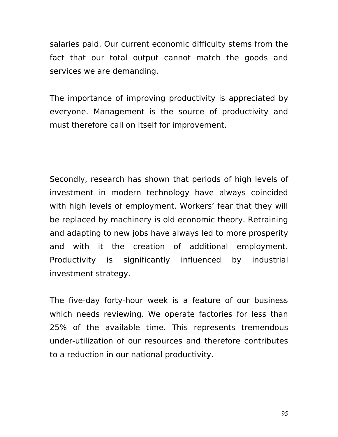salaries paid. Our current economic difficulty stems from the fact that our total output cannot match the goods and services we are demanding.

The importance of improving productivity is appreciated by everyone. Management is the source of productivity and must therefore call on itself for improvement.

Secondly, research has shown that periods of high levels of investment in modern technology have always coincided with high levels of employment. Workers' fear that they will be replaced by machinery is old economic theory. Retraining and adapting to new jobs have always led to more prosperity and with it the creation of additional employment. Productivity is significantly influenced by industrial investment strategy.

The five-day forty-hour week is a feature of our business which needs reviewing. We operate factories for less than 25% of the available time. This represents tremendous under-utilization of our resources and therefore contributes to a reduction in our national productivity.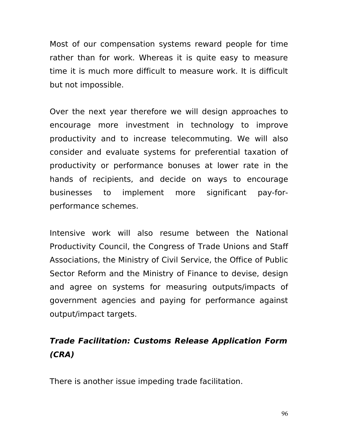Most of our compensation systems reward people for time rather than for work. Whereas it is quite easy to measure time it is much more difficult to measure work. It is difficult but not impossible.

Over the next year therefore we will design approaches to encourage more investment in technology to improve productivity and to increase telecommuting. We will also consider and evaluate systems for preferential taxation of productivity or performance bonuses at lower rate in the hands of recipients, and decide on ways to encourage businesses to implement more significant pay-forperformance schemes.

Intensive work will also resume between the National Productivity Council, the Congress of Trade Unions and Staff Associations, the Ministry of Civil Service, the Office of Public Sector Reform and the Ministry of Finance to devise, design and agree on systems for measuring outputs/impacts of government agencies and paying for performance against output/impact targets.

## **Trade Facilitation: Customs Release Application Form (CRA)**

There is another issue impeding trade facilitation.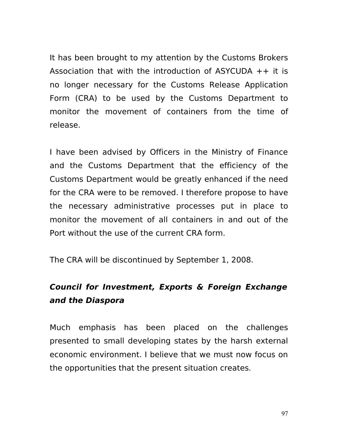It has been brought to my attention by the Customs Brokers Association that with the introduction of ASYCUDA  $++$  it is no longer necessary for the Customs Release Application Form (CRA) to be used by the Customs Department to monitor the movement of containers from the time of release.

I have been advised by Officers in the Ministry of Finance and the Customs Department that the efficiency of the Customs Department would be greatly enhanced if the need for the CRA were to be removed. I therefore propose to have the necessary administrative processes put in place to monitor the movement of all containers in and out of the Port without the use of the current CRA form.

The CRA will be discontinued by September 1, 2008.

# **Council for Investment, Exports & Foreign Exchange and the Diaspora**

Much emphasis has been placed on the challenges presented to small developing states by the harsh external economic environment. I believe that we must now focus on the opportunities that the present situation creates.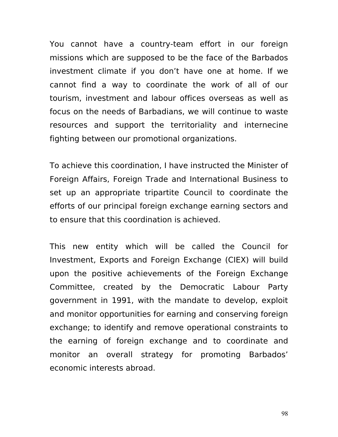You cannot have a country-team effort in our foreign missions which are supposed to be the face of the Barbados investment climate if you don't have one at home. If we cannot find a way to coordinate the work of all of our tourism, investment and labour offices overseas as well as focus on the needs of Barbadians, we will continue to waste resources and support the territoriality and internecine fighting between our promotional organizations.

To achieve this coordination, I have instructed the Minister of Foreign Affairs, Foreign Trade and International Business to set up an appropriate tripartite Council to coordinate the efforts of our principal foreign exchange earning sectors and to ensure that this coordination is achieved.

This new entity which will be called the Council for Investment, Exports and Foreign Exchange (CIEX) will build upon the positive achievements of the Foreign Exchange Committee, created by the Democratic Labour Party government in 1991, with the mandate to develop, exploit and monitor opportunities for earning and conserving foreign exchange; to identify and remove operational constraints to the earning of foreign exchange and to coordinate and monitor an overall strategy for promoting Barbados' economic interests abroad.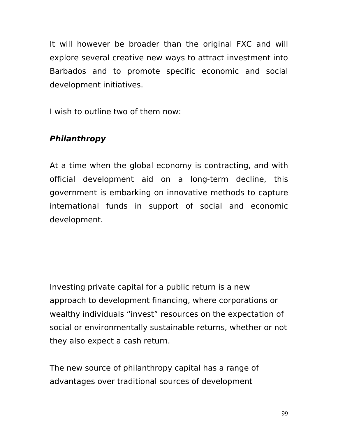It will however be broader than the original FXC and will explore several creative new ways to attract investment into Barbados and to promote specific economic and social development initiatives.

I wish to outline two of them now:

### **Philanthropy**

At a time when the global economy is contracting, and with official development aid on a long-term decline, this government is embarking on innovative methods to capture international funds in support of social and economic development.

Investing private capital for a public return is a new approach to development financing, where corporations or wealthy individuals "invest" resources on the expectation of social or environmentally sustainable returns, whether or not they also expect a cash return.

The new source of philanthropy capital has a range of advantages over traditional sources of development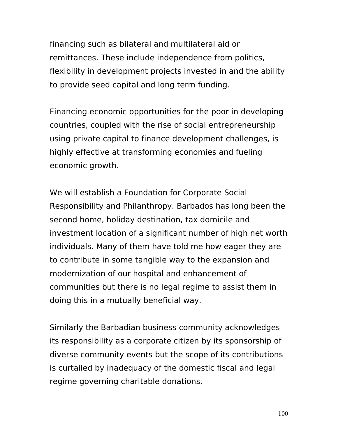financing such as bilateral and multilateral aid or remittances. These include independence from politics, flexibility in development projects invested in and the ability to provide seed capital and long term funding.

Financing economic opportunities for the poor in developing countries, coupled with the rise of social entrepreneurship using private capital to finance development challenges, is highly effective at transforming economies and fueling economic growth.

We will establish a Foundation for Corporate Social Responsibility and Philanthropy. Barbados has long been the second home, holiday destination, tax domicile and investment location of a significant number of high net worth individuals. Many of them have told me how eager they are to contribute in some tangible way to the expansion and modernization of our hospital and enhancement of communities but there is no legal regime to assist them in doing this in a mutually beneficial way.

Similarly the Barbadian business community acknowledges its responsibility as a corporate citizen by its sponsorship of diverse community events but the scope of its contributions is curtailed by inadequacy of the domestic fiscal and legal regime governing charitable donations.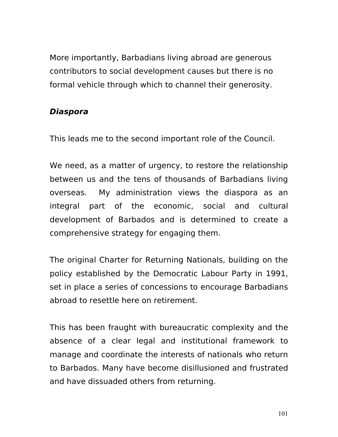More importantly, Barbadians living abroad are generous contributors to social development causes but there is no formal vehicle through which to channel their generosity.

#### **Diaspora**

This leads me to the second important role of the Council.

We need, as a matter of urgency, to restore the relationship between us and the tens of thousands of Barbadians living overseas. My administration views the diaspora as an integral part of the economic, social and cultural development of Barbados and is determined to create a comprehensive strategy for engaging them.

The original Charter for Returning Nationals, building on the policy established by the Democratic Labour Party in 1991, set in place a series of concessions to encourage Barbadians abroad to resettle here on retirement.

This has been fraught with bureaucratic complexity and the absence of a clear legal and institutional framework to manage and coordinate the interests of nationals who return to Barbados. Many have become disillusioned and frustrated and have dissuaded others from returning.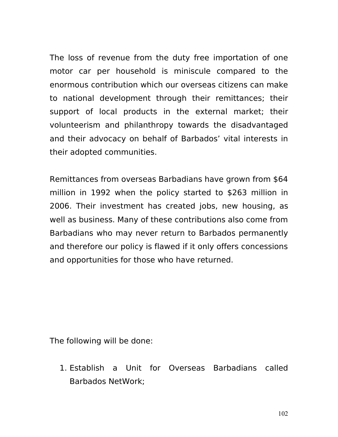The loss of revenue from the duty free importation of one motor car per household is miniscule compared to the enormous contribution which our overseas citizens can make to national development through their remittances; their support of local products in the external market; their volunteerism and philanthropy towards the disadvantaged and their advocacy on behalf of Barbados' vital interests in their adopted communities.

Remittances from overseas Barbadians have grown from \$64 million in 1992 when the policy started to \$263 million in 2006. Their investment has created jobs, new housing, as well as business. Many of these contributions also come from Barbadians who may never return to Barbados permanently and therefore our policy is flawed if it only offers concessions and opportunities for those who have returned.

The following will be done:

1. Establish a Unit for Overseas Barbadians called Barbados NetWork;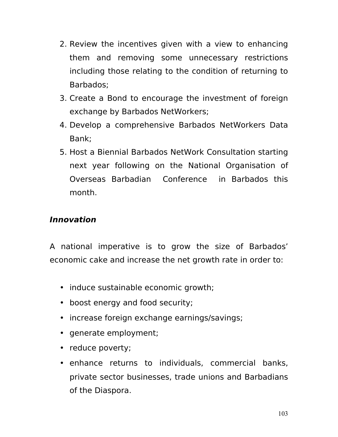- 2. Review the incentives given with a view to enhancing them and removing some unnecessary restrictions including those relating to the condition of returning to Barbados;
- 3. Create a Bond to encourage the investment of foreign exchange by Barbados NetWorkers;
- 4. Develop a comprehensive Barbados NetWorkers Data Bank;
- 5. Host a Biennial Barbados NetWork Consultation starting next year following on the National Organisation of Overseas Barbadian Conference in Barbados this month.

### **Innovation**

A national imperative is to grow the size of Barbados' economic cake and increase the net growth rate in order to:

- induce sustainable economic growth;
- boost energy and food security;
- increase foreign exchange earnings/savings;
- generate employment;
- reduce poverty;
- enhance returns to individuals, commercial banks, private sector businesses, trade unions and Barbadians of the Diaspora.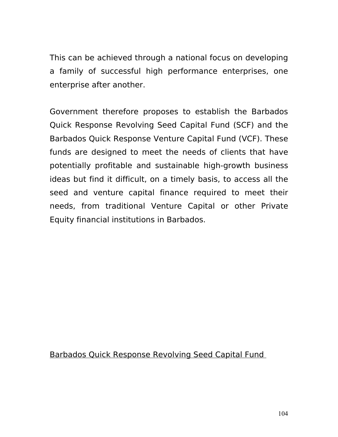This can be achieved through a national focus on developing a family of successful high performance enterprises, one enterprise after another.

Government therefore proposes to establish the Barbados Quick Response Revolving Seed Capital Fund (SCF) and the Barbados Quick Response Venture Capital Fund (VCF). These funds are designed to meet the needs of clients that have potentially profitable and sustainable high-growth business ideas but find it difficult, on a timely basis, to access all the seed and venture capital finance required to meet their needs, from traditional Venture Capital or other Private Equity financial institutions in Barbados.

Barbados Quick Response Revolving Seed Capital Fund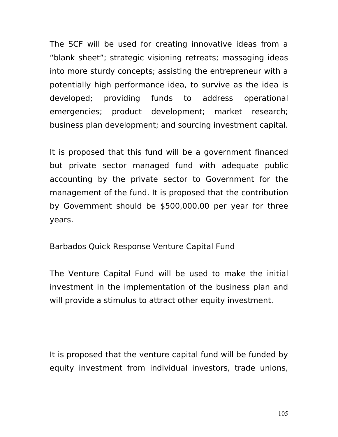The SCF will be used for creating innovative ideas from a "blank sheet"; strategic visioning retreats; massaging ideas into more sturdy concepts; assisting the entrepreneur with a potentially high performance idea, to survive as the idea is developed; providing funds to address operational emergencies; product development; market research; business plan development; and sourcing investment capital.

It is proposed that this fund will be a government financed but private sector managed fund with adequate public accounting by the private sector to Government for the management of the fund. It is proposed that the contribution by Government should be \$500,000.00 per year for three years.

#### Barbados Quick Response Venture Capital Fund

The Venture Capital Fund will be used to make the initial investment in the implementation of the business plan and will provide a stimulus to attract other equity investment.

It is proposed that the venture capital fund will be funded by equity investment from individual investors, trade unions,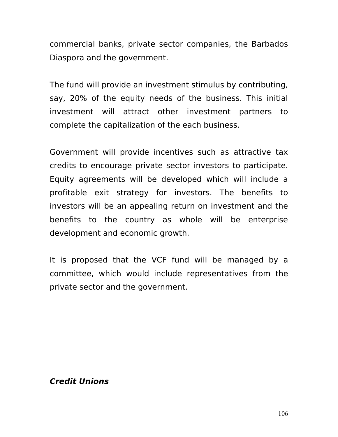commercial banks, private sector companies, the Barbados Diaspora and the government.

The fund will provide an investment stimulus by contributing, say, 20% of the equity needs of the business. This initial investment will attract other investment partners to complete the capitalization of the each business.

Government will provide incentives such as attractive tax credits to encourage private sector investors to participate. Equity agreements will be developed which will include a profitable exit strategy for investors. The benefits to investors will be an appealing return on investment and the benefits to the country as whole will be enterprise development and economic growth.

It is proposed that the VCF fund will be managed by a committee, which would include representatives from the private sector and the government.

#### **Credit Unions**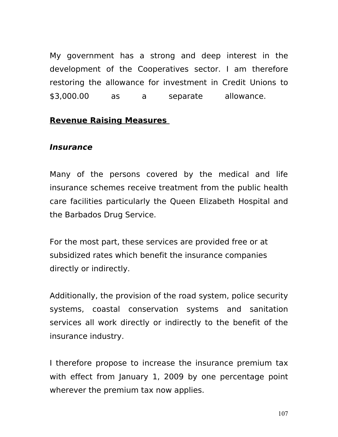My government has a strong and deep interest in the development of the Cooperatives sector. I am therefore restoring the allowance for investment in Credit Unions to \$3,000.00 as a separate allowance.

#### **Revenue Raising Measures**

#### **Insurance**

Many of the persons covered by the medical and life insurance schemes receive treatment from the public health care facilities particularly the Queen Elizabeth Hospital and the Barbados Drug Service.

For the most part, these services are provided free or at subsidized rates which benefit the insurance companies directly or indirectly.

Additionally, the provision of the road system, police security systems, coastal conservation systems and sanitation services all work directly or indirectly to the benefit of the insurance industry.

I therefore propose to increase the insurance premium tax with effect from January 1, 2009 by one percentage point wherever the premium tax now applies.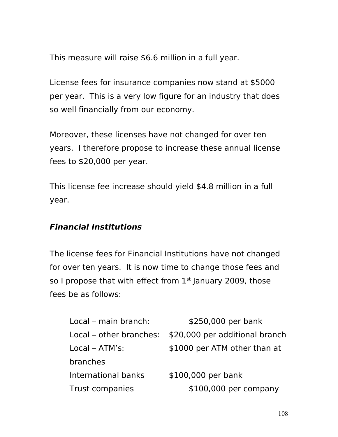This measure will raise \$6.6 million in a full year.

License fees for insurance companies now stand at \$5000 per year. This is a very low figure for an industry that does so well financially from our economy.

Moreover, these licenses have not changed for over ten years. I therefore propose to increase these annual license fees to \$20,000 per year.

This license fee increase should yield \$4.8 million in a full year.

#### **Financial Institutions**

The license fees for Financial Institutions have not changed for over ten years. It is now time to change those fees and so I propose that with effect from  $1<sup>st</sup>$  January 2009, those fees be as follows:

| Local – main branch:    | \$250,000 per bank             |
|-------------------------|--------------------------------|
| Local – other branches: | \$20,000 per additional branch |
| $Local - ATM's:$        | \$1000 per ATM other than at   |
| branches                |                                |
| International banks     | \$100,000 per bank             |
| <b>Trust companies</b>  | \$100,000 per company          |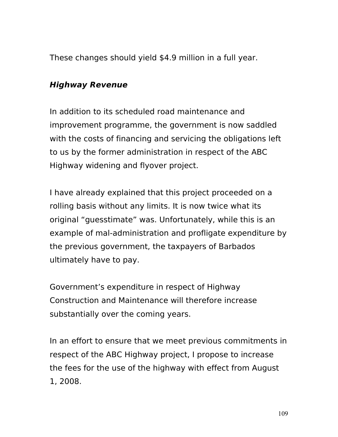These changes should yield \$4.9 million in a full year.

### **Highway Revenue**

In addition to its scheduled road maintenance and improvement programme, the government is now saddled with the costs of financing and servicing the obligations left to us by the former administration in respect of the ABC Highway widening and flyover project.

I have already explained that this project proceeded on a rolling basis without any limits. It is now twice what its original "guesstimate" was. Unfortunately, while this is an example of mal-administration and profligate expenditure by the previous government, the taxpayers of Barbados ultimately have to pay.

Government's expenditure in respect of Highway Construction and Maintenance will therefore increase substantially over the coming years.

In an effort to ensure that we meet previous commitments in respect of the ABC Highway project, I propose to increase the fees for the use of the highway with effect from August 1, 2008.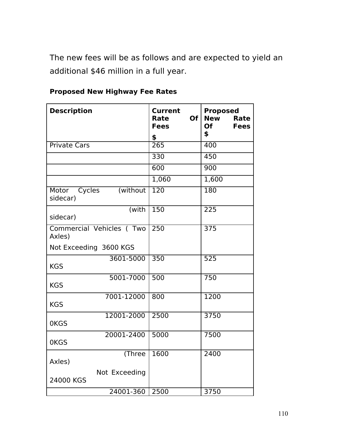The new fees will be as follows and are expected to yield an additional \$46 million in a full year.

| <b>Description</b>                       | Current<br><b>Of</b><br>Rate<br><b>Fees</b><br>\$ | <b>Proposed</b><br><b>New</b><br>Rate<br><b>Of</b><br><b>Fees</b><br>\$ |
|------------------------------------------|---------------------------------------------------|-------------------------------------------------------------------------|
| <b>Private Cars</b>                      | $\overline{265}$                                  | 400                                                                     |
|                                          | 330                                               | 450                                                                     |
|                                          | 600                                               | 900                                                                     |
|                                          | 1,060                                             | 1,600                                                                   |
| (without)<br>Cycles<br>Motor<br>sidecar) | 120                                               | 180                                                                     |
| (with<br>sidecar)                        | 150                                               | 225                                                                     |
| Commercial Vehicles (Two<br>Axles)       | 250                                               | 375                                                                     |
| Not Exceeding 3600 KGS                   |                                                   |                                                                         |
| 3601-5000<br><b>KGS</b>                  | 350                                               | 525                                                                     |
| 5001-7000<br><b>KGS</b>                  | 500                                               | 750                                                                     |
| 7001-12000<br><b>KGS</b>                 | 800                                               | 1200                                                                    |
| 12001-2000<br>0KGS                       | 2500                                              | 3750                                                                    |
| 20001-2400<br>0KGS                       | 5000                                              | 7500                                                                    |
| (Three<br>Axles)                         | 1600                                              | 2400                                                                    |
| Not Exceeding<br>24000 KGS               |                                                   |                                                                         |
| 24001-360                                | 2500                                              | 3750                                                                    |

**Proposed New Highway Fee Rates**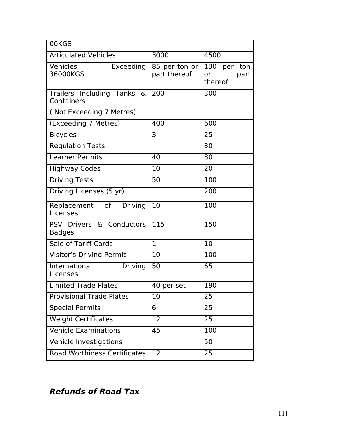| 00KGS                                       |                               |                                                |
|---------------------------------------------|-------------------------------|------------------------------------------------|
| <b>Articulated Vehicles</b>                 | 3000                          | 4500                                           |
| <b>Vehicles</b><br>Exceeding<br>36000KGS    | 85 per ton or<br>part thereof | 130 per<br>ton<br>part<br><b>or</b><br>thereof |
| Trailers Including Tanks &<br>Containers    | 200                           | 300                                            |
| (Not Exceeding 7 Metres)                    |                               |                                                |
| (Exceeding 7 Metres)                        | 400                           | 600                                            |
| <b>Bicycles</b>                             | 3                             | 25                                             |
| <b>Regulation Tests</b>                     |                               | 30                                             |
| <b>Learner Permits</b>                      | 40                            | 80                                             |
| <b>Highway Codes</b>                        | 10                            | 20                                             |
| <b>Driving Tests</b>                        | 50                            | 100                                            |
| Driving Licenses (5 yr)                     |                               | 200                                            |
| Replacement of Driving<br>Licenses          | 10                            | 100                                            |
| PSV Drivers & Conductors<br><b>Badges</b>   | 115                           | 150                                            |
| Sale of Tariff Cards                        | $\mathbf{1}$                  | 10                                             |
| Visitor's Driving Permit                    | 10                            | 100                                            |
| International<br><b>Driving</b><br>Licenses | 50                            | 65                                             |
| Limited Trade Plates                        | 40 per set                    | 190                                            |
| <b>Provisional Trade Plates</b>             | 10                            | 25                                             |
| <b>Special Permits</b>                      | 6                             | 25                                             |
| <b>Weight Certificates</b>                  | 12                            | 25                                             |
| <b>Vehicle Examinations</b>                 | 45                            | 100                                            |
| <b>Vehicle Investigations</b>               |                               | 50                                             |
| <b>Road Worthiness Certificates</b>         | 12                            | 25                                             |

# **Refunds of Road Tax**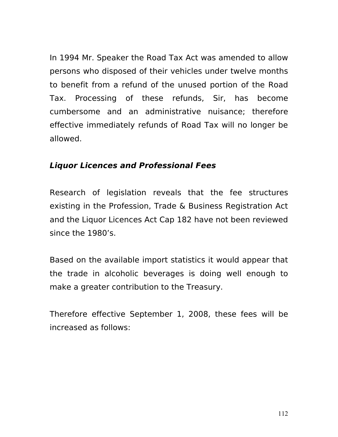In 1994 Mr. Speaker the Road Tax Act was amended to allow persons who disposed of their vehicles under twelve months to benefit from a refund of the unused portion of the Road Tax. Processing of these refunds, Sir, has become cumbersome and an administrative nuisance; therefore effective immediately refunds of Road Tax will no longer be allowed.

# **Liquor Licences and Professional Fees**

Research of legislation reveals that the fee structures existing in the Profession, Trade & Business Registration Act and the Liquor Licences Act Cap 182 have not been reviewed since the 1980's.

Based on the available import statistics it would appear that the trade in alcoholic beverages is doing well enough to make a greater contribution to the Treasury.

Therefore effective September 1, 2008, these fees will be increased as follows: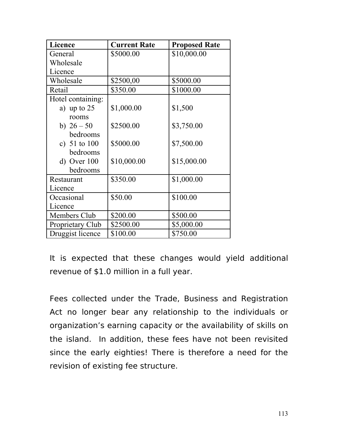| <b>Licence</b>          | <b>Current Rate</b> | <b>Proposed Rate</b> |
|-------------------------|---------------------|----------------------|
| General                 | \$5000.00           | \$10,000.00          |
| Wholesale               |                     |                      |
| Licence                 |                     |                      |
| Wholesale               | \$2500,00           | \$5000.00            |
| Retail                  | \$350.00            | \$1000.00            |
| Hotel containing:       |                     |                      |
| a) up to $25$           | \$1,000.00          | \$1,500              |
| rooms                   |                     |                      |
| b) $26 - 50$            | \$2500.00           | \$3,750.00           |
| bedrooms                |                     |                      |
| c) $51$ to $100$        | \$5000.00           | \$7,500.00           |
| bedrooms                |                     |                      |
| $d)$ Over 100           | \$10,000.00         | \$15,000.00          |
| bedrooms                |                     |                      |
| Restaurant              | \$350.00            | \$1,000.00           |
| Licence                 |                     |                      |
| Occasional              | \$50.00             | \$100.00             |
| Licence                 |                     |                      |
| Members Club            | \$200.00            | \$500.00             |
| <b>Proprietary Club</b> | \$2500.00           | \$5,000.00           |
| Druggist licence        | \$100.00            | \$750.00             |

It is expected that these changes would yield additional revenue of \$1.0 million in a full year.

Fees collected under the Trade, Business and Registration Act no longer bear any relationship to the individuals or organization's earning capacity or the availability of skills on the island. In addition, these fees have not been revisited since the early eighties! There is therefore a need for the revision of existing fee structure.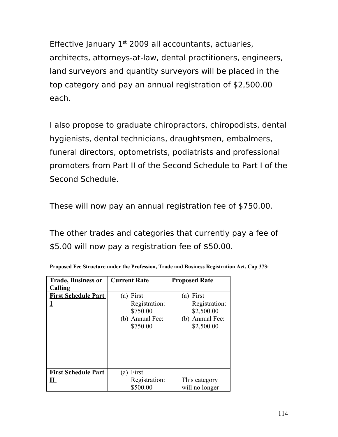Effective January  $1<sup>st</sup>$  2009 all accountants, actuaries, architects, attorneys-at-law, dental practitioners, engineers, land surveyors and quantity surveyors will be placed in the top category and pay an annual registration of \$2,500.00 each.

I also propose to graduate chiropractors, chiropodists, dental hygienists, dental technicians, draughtsmen, embalmers, funeral directors, optometrists, podiatrists and professional promoters from Part II of the Second Schedule to Part I of the Second Schedule.

These will now pay an annual registration fee of \$750.00.

The other trades and categories that currently pay a fee of \$5.00 will now pay a registration fee of \$50.00.

| <b>Trade, Business or</b>  | <b>Current Rate</b> | <b>Proposed Rate</b> |
|----------------------------|---------------------|----------------------|
| Calling                    |                     |                      |
| <b>First Schedule Part</b> | First<br>(a)        | First<br>(a)         |
|                            | Registration:       | Registration:        |
|                            | \$750.00            | \$2,500.00           |
|                            | (b) Annual Fee:     | (b) Annual Fee:      |
|                            | \$750.00            | \$2,500.00           |
|                            |                     |                      |
|                            |                     |                      |
|                            |                     |                      |
|                            |                     |                      |
|                            |                     |                      |
| <b>First Schedule Part</b> | First<br>(a)        |                      |
| н                          | Registration:       | This category        |
|                            | \$500.00            | will no longer       |

|  |  |  | Proposed Fee Structure under the Profession, Trade and Business Registration Act, Cap 373: |  |  |
|--|--|--|--------------------------------------------------------------------------------------------|--|--|
|  |  |  |                                                                                            |  |  |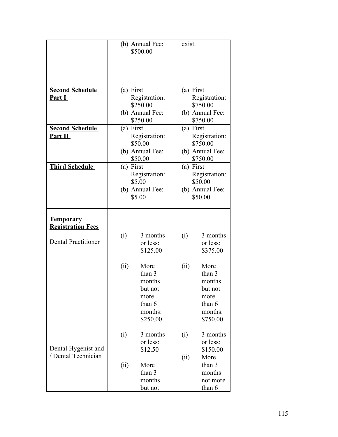|                                              |           | (b) Annual Fee:<br>\$500.00 | exist.    |                             |
|----------------------------------------------|-----------|-----------------------------|-----------|-----------------------------|
|                                              |           |                             |           |                             |
|                                              |           |                             |           |                             |
|                                              |           |                             |           |                             |
| <b>Second Schedule</b>                       | (a) First |                             | (a) First |                             |
| Part I                                       |           | Registration:               |           | Registration:               |
|                                              |           | \$250.00<br>(b) Annual Fee: |           | \$750.00<br>(b) Annual Fee: |
|                                              |           | \$250.00                    |           | \$750.00                    |
| <b>Second Schedule</b>                       | (a) First |                             | (a) First |                             |
| Part II                                      |           | Registration:<br>\$50.00    |           | Registration:<br>\$750.00   |
|                                              |           | (b) Annual Fee:             |           | (b) Annual Fee:             |
|                                              |           | \$50.00                     |           | \$750.00                    |
| <b>Third Schedule</b>                        | (a) First |                             | (a) First |                             |
|                                              |           | Registration:<br>\$5.00     |           | Registration:<br>\$50.00    |
|                                              |           | (b) Annual Fee:             |           | (b) Annual Fee:             |
|                                              |           | \$5.00                      |           | \$50.00                     |
|                                              |           |                             |           |                             |
| <b>Temporary</b><br><b>Registration Fees</b> |           |                             |           |                             |
| <b>Dental Practitioner</b>                   | (i)       | 3 months                    | (i)       | 3 months                    |
|                                              |           | or less:<br>\$125.00        |           | or less:<br>\$375.00        |
|                                              |           |                             |           |                             |
|                                              | (ii)      | More                        | (ii)      | More                        |
|                                              |           | than 3<br>months            |           | than 3<br>months            |
|                                              |           | but not                     |           | but not                     |
|                                              |           | more                        |           | more                        |
|                                              |           | than 6                      |           | than 6                      |
|                                              |           | months:<br>\$250.00         |           | months:<br>\$750.00         |
|                                              |           |                             |           |                             |
|                                              | (i)       | 3 months                    | (i)       | 3 months                    |
| Dental Hygenist and                          |           | or less:<br>\$12.50         |           | or less:<br>\$150.00        |
| / Dental Technician                          |           |                             | (ii)      | More                        |
|                                              | (ii)      | More                        |           | than 3                      |
|                                              |           | than 3                      |           | months                      |
|                                              |           | months<br>but not           |           | not more<br>than 6          |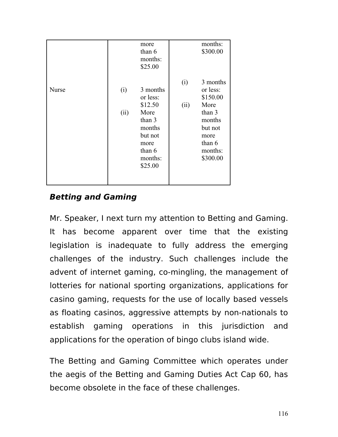|              |             | more<br>than 6<br>months:<br>\$25.00                                                                           | (i)  | months:<br>\$300.00<br>3 months                                                                        |
|--------------|-------------|----------------------------------------------------------------------------------------------------------------|------|--------------------------------------------------------------------------------------------------------|
| <b>Nurse</b> | (i)<br>(ii) | 3 months<br>or less:<br>\$12.50<br>More<br>than 3<br>months<br>but not<br>more<br>than 6<br>months:<br>\$25.00 | (ii) | or less:<br>\$150.00<br>More<br>than 3<br>months<br>but not<br>more<br>than $6$<br>months:<br>\$300.00 |

# **Betting and Gaming**

Mr. Speaker, I next turn my attention to Betting and Gaming. It has become apparent over time that the existing legislation is inadequate to fully address the emerging challenges of the industry. Such challenges include the advent of internet gaming, co-mingling, the management of lotteries for national sporting organizations, applications for casino gaming, requests for the use of locally based vessels as floating casinos, aggressive attempts by non-nationals to establish gaming operations in this jurisdiction and applications for the operation of bingo clubs island wide.

The Betting and Gaming Committee which operates under the aegis of the Betting and Gaming Duties Act Cap 60, has become obsolete in the face of these challenges.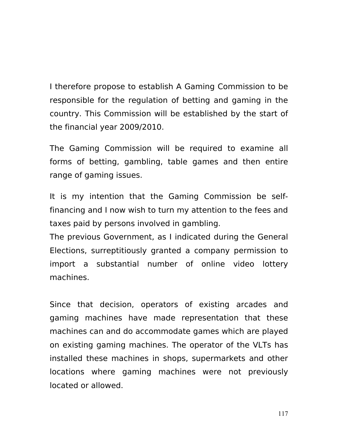I therefore propose to establish A Gaming Commission to be responsible for the regulation of betting and gaming in the country. This Commission will be established by the start of the financial year 2009/2010.

The Gaming Commission will be required to examine all forms of betting, gambling, table games and then entire range of gaming issues.

It is my intention that the Gaming Commission be selffinancing and I now wish to turn my attention to the fees and taxes paid by persons involved in gambling.

The previous Government, as I indicated during the General Elections, surreptitiously granted a company permission to import a substantial number of online video lottery machines.

Since that decision, operators of existing arcades and gaming machines have made representation that these machines can and do accommodate games which are played on existing gaming machines. The operator of the VLTs has installed these machines in shops, supermarkets and other locations where gaming machines were not previously located or allowed.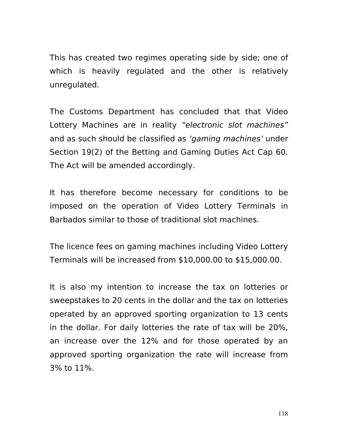This has created two regimes operating side by side; one of which is heavily regulated and the other is relatively unregulated.

The Customs Department has concluded that that Video Lottery Machines are in reality "electronic slot machines" and as such should be classified as 'gaming machines' under Section 19(2) of the Betting and Gaming Duties Act Cap 60. The Act will be amended accordingly.

It has therefore become necessary for conditions to be imposed on the operation of Video Lottery Terminals in Barbados similar to those of traditional slot machines.

The licence fees on gaming machines including Video Lottery Terminals will be increased from \$10,000.00 to \$15,000.00.

It is also my intention to increase the tax on lotteries or sweepstakes to 20 cents in the dollar and the tax on lotteries operated by an approved sporting organization to 13 cents in the dollar. For daily lotteries the rate of tax will be 20%, an increase over the 12% and for those operated by an approved sporting organization the rate will increase from 3% to 11%.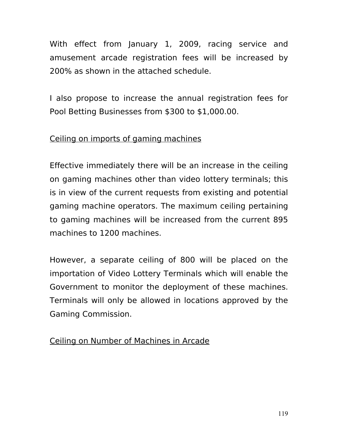With effect from January 1, 2009, racing service and amusement arcade registration fees will be increased by 200% as shown in the attached schedule.

I also propose to increase the annual registration fees for Pool Betting Businesses from \$300 to \$1,000.00.

# Ceiling on imports of gaming machines

Effective immediately there will be an increase in the ceiling on gaming machines other than video lottery terminals; this is in view of the current requests from existing and potential gaming machine operators. The maximum ceiling pertaining to gaming machines will be increased from the current 895 machines to 1200 machines.

However, a separate ceiling of 800 will be placed on the importation of Video Lottery Terminals which will enable the Government to monitor the deployment of these machines. Terminals will only be allowed in locations approved by the Gaming Commission.

# Ceiling on Number of Machines in Arcade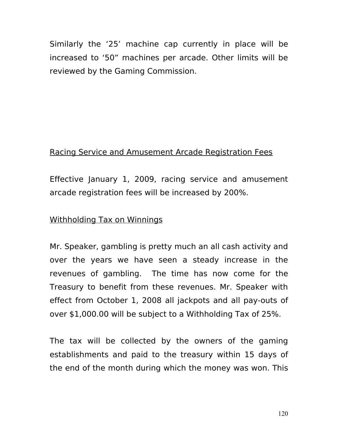Similarly the '25' machine cap currently in place will be increased to '50" machines per arcade. Other limits will be reviewed by the Gaming Commission.

#### Racing Service and Amusement Arcade Registration Fees

Effective January 1, 2009, racing service and amusement arcade registration fees will be increased by 200%.

#### Withholding Tax on Winnings

Mr. Speaker, gambling is pretty much an all cash activity and over the years we have seen a steady increase in the revenues of gambling. The time has now come for the Treasury to benefit from these revenues. Mr. Speaker with effect from October 1, 2008 all jackpots and all pay-outs of over \$1,000.00 will be subject to a Withholding Tax of 25%.

The tax will be collected by the owners of the gaming establishments and paid to the treasury within 15 days of the end of the month during which the money was won. This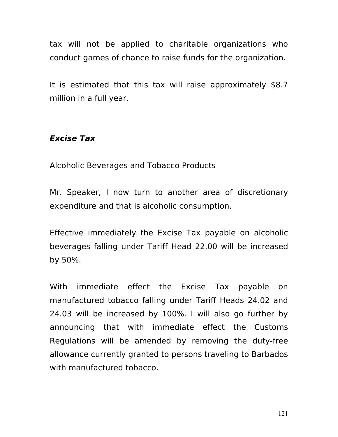tax will not be applied to charitable organizations who conduct games of chance to raise funds for the organization.

It is estimated that this tax will raise approximately \$8.7 million in a full year.

# **Excise Tax**

#### Alcoholic Beverages and Tobacco Products

Mr. Speaker, I now turn to another area of discretionary expenditure and that is alcoholic consumption.

Effective immediately the Excise Tax payable on alcoholic beverages falling under Tariff Head 22.00 will be increased by 50%.

With immediate effect the Excise Tax payable on manufactured tobacco falling under Tariff Heads 24.02 and 24.03 will be increased by 100%. I will also go further by announcing that with immediate effect the Customs Regulations will be amended by removing the duty-free allowance currently granted to persons traveling to Barbados with manufactured tobacco.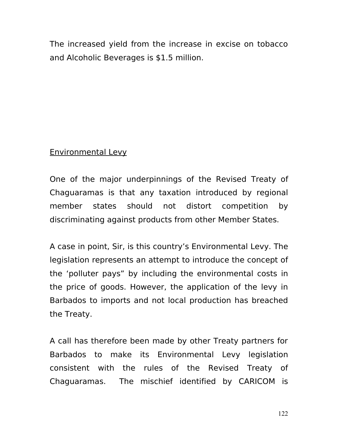The increased yield from the increase in excise on tobacco and Alcoholic Beverages is \$1.5 million.

### Environmental Levy

One of the major underpinnings of the Revised Treaty of Chaguaramas is that any taxation introduced by regional member states should not distort competition by discriminating against products from other Member States.

A case in point, Sir, is this country's Environmental Levy. The legislation represents an attempt to introduce the concept of the 'polluter pays" by including the environmental costs in the price of goods. However, the application of the levy in Barbados to imports and not local production has breached the Treaty.

A call has therefore been made by other Treaty partners for Barbados to make its Environmental Levy legislation consistent with the rules of the Revised Treaty of Chaguaramas. The mischief identified by CARICOM is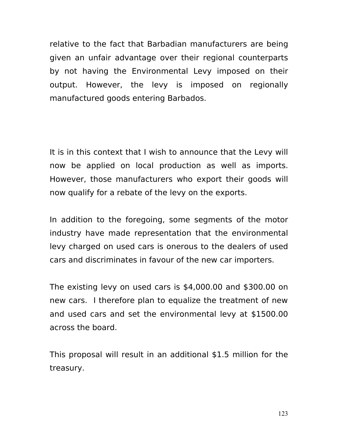relative to the fact that Barbadian manufacturers are being given an unfair advantage over their regional counterparts by not having the Environmental Levy imposed on their output. However, the levy is imposed on regionally manufactured goods entering Barbados.

It is in this context that I wish to announce that the Levy will now be applied on local production as well as imports. However, those manufacturers who export their goods will now qualify for a rebate of the levy on the exports.

In addition to the foregoing, some segments of the motor industry have made representation that the environmental levy charged on used cars is onerous to the dealers of used cars and discriminates in favour of the new car importers.

The existing levy on used cars is \$4,000.00 and \$300.00 on new cars. I therefore plan to equalize the treatment of new and used cars and set the environmental levy at \$1500.00 across the board.

This proposal will result in an additional \$1.5 million for the treasury.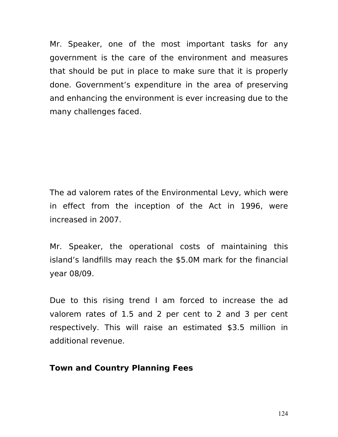Mr. Speaker, one of the most important tasks for any government is the care of the environment and measures that should be put in place to make sure that it is properly done. Government's expenditure in the area of preserving and enhancing the environment is ever increasing due to the many challenges faced.

The ad valorem rates of the Environmental Levy, which were in effect from the inception of the Act in 1996, were increased in 2007.

Mr. Speaker, the operational costs of maintaining this island's landfills may reach the \$5.0M mark for the financial year 08/09.

Due to this rising trend I am forced to increase the ad valorem rates of 1.5 and 2 per cent to 2 and 3 per cent respectively. This will raise an estimated \$3.5 million in additional revenue.

#### **Town and Country Planning Fees**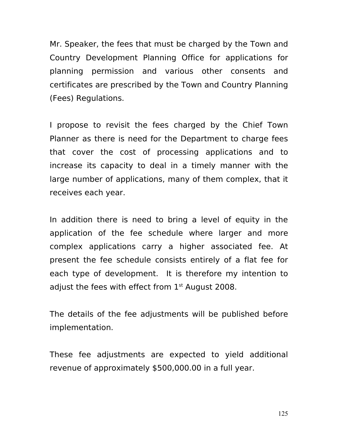Mr. Speaker, the fees that must be charged by the Town and Country Development Planning Office for applications for planning permission and various other consents and certificates are prescribed by the Town and Country Planning (Fees) Regulations.

I propose to revisit the fees charged by the Chief Town Planner as there is need for the Department to charge fees that cover the cost of processing applications and to increase its capacity to deal in a timely manner with the large number of applications, many of them complex, that it receives each year.

In addition there is need to bring a level of equity in the application of the fee schedule where larger and more complex applications carry a higher associated fee. At present the fee schedule consists entirely of a flat fee for each type of development. It is therefore my intention to adjust the fees with effect from  $1<sup>st</sup>$  August 2008.

The details of the fee adjustments will be published before implementation.

These fee adjustments are expected to yield additional revenue of approximately \$500,000.00 in a full year.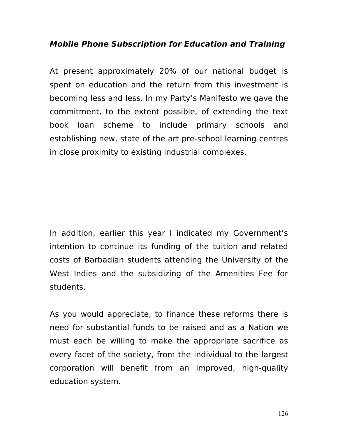### **Mobile Phone Subscription for Education and Training**

At present approximately 20% of our national budget is spent on education and the return from this investment is becoming less and less. In my Party's Manifesto we gave the commitment, to the extent possible, of extending the text book loan scheme to include primary schools and establishing new, state of the art pre-school learning centres in close proximity to existing industrial complexes.

In addition, earlier this year I indicated my Government's intention to continue its funding of the tuition and related costs of Barbadian students attending the University of the West Indies and the subsidizing of the Amenities Fee for students.

As you would appreciate, to finance these reforms there is need for substantial funds to be raised and as a Nation we must each be willing to make the appropriate sacrifice as every facet of the society, from the individual to the largest corporation will benefit from an improved, high-quality education system.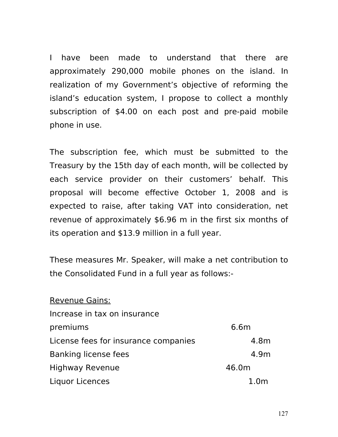I have been made to understand that there are approximately 290,000 mobile phones on the island. In realization of my Government's objective of reforming the island's education system, I propose to collect a monthly subscription of \$4.00 on each post and pre-paid mobile phone in use.

The subscription fee, which must be submitted to the Treasury by the 15th day of each month, will be collected by each service provider on their customers' behalf. This proposal will become effective October 1, 2008 and is expected to raise, after taking VAT into consideration, net revenue of approximately \$6.96 m in the first six months of its operation and \$13.9 million in a full year.

These measures Mr. Speaker, will make a net contribution to the Consolidated Fund in a full year as follows:-

| <b>Revenue Gains:</b>                |                  |
|--------------------------------------|------------------|
| Increase in tax on insurance         |                  |
| premiums                             | 6.6m             |
| License fees for insurance companies | 4.8m             |
| Banking license fees                 | 4.9m             |
| <b>Highway Revenue</b>               | 46.0m            |
| Liquor Licences                      | 1.0 <sub>m</sub> |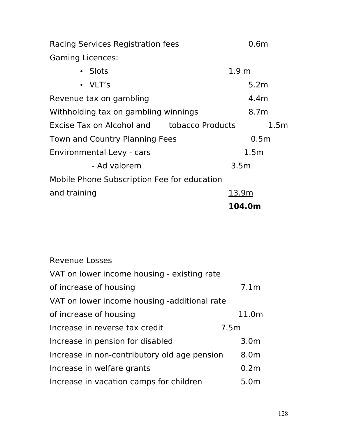Racing Services Registration fees 6.6m Gaming Licences:

| • Slots                                     | 1.9 <sub>m</sub> |
|---------------------------------------------|------------------|
| • VLT's                                     | 5.2m             |
| Revenue tax on gambling                     | 4.4 <sub>m</sub> |
| Withholding tax on gambling winnings        | 8.7 <sub>m</sub> |
| Excise Tax on Alcohol and tobacco Products  | 1.5 <sub>m</sub> |
| Town and Country Planning Fees              | 0.5 <sub>m</sub> |
| Environmental Levy - cars                   | 1.5 <sub>m</sub> |
| - Ad valorem                                | 3.5 <sub>m</sub> |
| Mobile Phone Subscription Fee for education |                  |
| and training                                | 13.9m            |
|                                             | 104.0m           |

| <b>Revenue Losses</b>                        |                  |
|----------------------------------------------|------------------|
| VAT on lower income housing - existing rate  |                  |
| of increase of housing                       | 7.1 <sub>m</sub> |
| VAT on lower income housing -additional rate |                  |
| of increase of housing                       | 11.0m            |
| Increase in reverse tax credit               | 7.5m             |
| Increase in pension for disabled             | 3.0 <sub>m</sub> |
| Increase in non-contributory old age pension | 8.0m             |
| Increase in welfare grants                   | 0.2 <sub>m</sub> |
| Increase in vacation camps for children      | 5.0 <sub>m</sub> |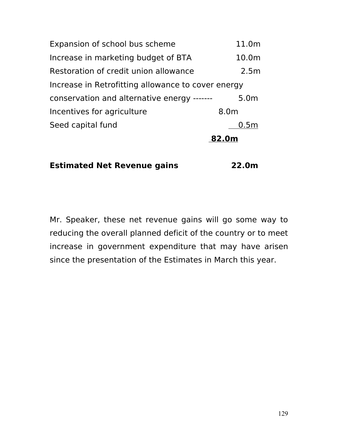|                                                    | 82.0m            |
|----------------------------------------------------|------------------|
| Seed capital fund                                  | 0.5 <sub>m</sub> |
| Incentives for agriculture                         | 8.0m             |
| conservation and alternative energy -------        | 5.0m             |
| Increase in Retrofitting allowance to cover energy |                  |
| Restoration of credit union allowance              | 2.5m             |
| Increase in marketing budget of BTA                | 10.0m            |
| Expansion of school bus scheme                     | 11.0m            |

**Estimated Net Revenue gains 22.0m**

Mr. Speaker, these net revenue gains will go some way to reducing the overall planned deficit of the country or to meet increase in government expenditure that may have arisen since the presentation of the Estimates in March this year.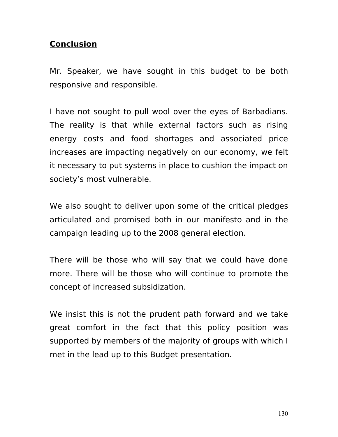# **Conclusion**

Mr. Speaker, we have sought in this budget to be both responsive and responsible.

I have not sought to pull wool over the eyes of Barbadians. The reality is that while external factors such as rising energy costs and food shortages and associated price increases are impacting negatively on our economy, we felt it necessary to put systems in place to cushion the impact on society's most vulnerable.

We also sought to deliver upon some of the critical pledges articulated and promised both in our manifesto and in the campaign leading up to the 2008 general election.

There will be those who will say that we could have done more. There will be those who will continue to promote the concept of increased subsidization.

We insist this is not the prudent path forward and we take great comfort in the fact that this policy position was supported by members of the majority of groups with which I met in the lead up to this Budget presentation.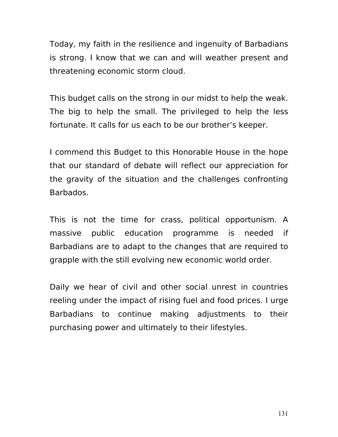Today, my faith in the resilience and ingenuity of Barbadians is strong. I know that we can and will weather present and threatening economic storm cloud.

This budget calls on the strong in our midst to help the weak. The big to help the small. The privileged to help the less fortunate. It calls for us each to be our brother's keeper.

I commend this Budget to this Honorable House in the hope that our standard of debate will reflect our appreciation for the gravity of the situation and the challenges confronting Barbados.

This is not the time for crass, political opportunism. A massive public education programme is needed if Barbadians are to adapt to the changes that are required to grapple with the still evolving new economic world order.

Daily we hear of civil and other social unrest in countries reeling under the impact of rising fuel and food prices. I urge Barbadians to continue making adjustments to their purchasing power and ultimately to their lifestyles.